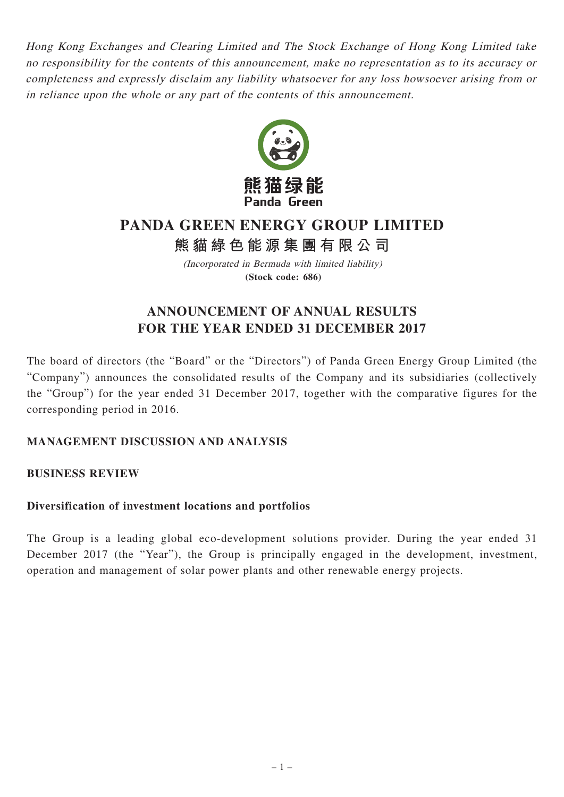Hong Kong Exchanges and Clearing Limited and The Stock Exchange of Hong Kong Limited take no responsibility for the contents of this announcement, make no representation as to its accuracy or completeness and expressly disclaim any liability whatsoever for any loss howsoever arising from or in reliance upon the whole or any part of the contents of this announcement.



# **PANDA GREEN ENERGY GROUP LIMITED**

**熊貓綠色能源集團有限公司**

(Incorporated in Bermuda with limited liability) **(Stock code: 686)**

# **ANNOUNCEMENT OF ANNUAL RESULTS FOR THE YEAR ENDED 31 DECEMBER 2017**

The board of directors (the "Board" or the "Directors") of Panda Green Energy Group Limited (the "Company") announces the consolidated results of the Company and its subsidiaries (collectively the "Group") for the year ended 31 December 2017, together with the comparative figures for the corresponding period in 2016.

# **MANAGEMENT DISCUSSION AND ANALYSIS**

### **BUSINESS REVIEW**

### **Diversification of investment locations and portfolios**

The Group is a leading global eco-development solutions provider. During the year ended 31 December 2017 (the "Year"), the Group is principally engaged in the development, investment, operation and management of solar power plants and other renewable energy projects.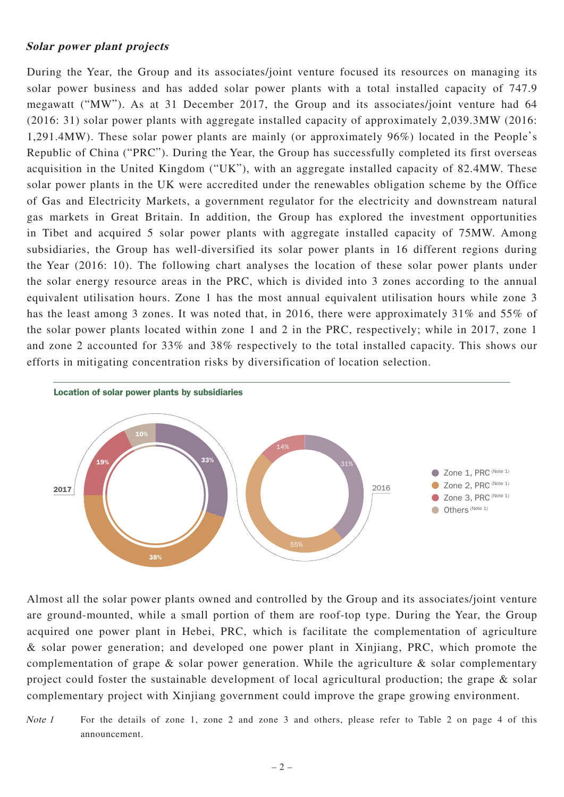#### **Solar power plant projects**

During the Year, the Group and its associates/joint venture focused its resources on managing its solar power business and has added solar power plants with a total installed capacity of 747.9 megawatt ("MW"). As at 31 December 2017, the Group and its associates/joint venture had 64 (2016: 31) solar power plants with aggregate installed capacity of approximately 2,039.3MW (2016: 1,291.4MW). These solar power plants are mainly (or approximately 96%) located in the People's Republic of China ("PRC"). During the Year, the Group has successfully completed its first overseas acquisition in the United Kingdom ("UK"), with an aggregate installed capacity of 82.4MW. These solar power plants in the UK were accredited under the renewables obligation scheme by the Office of Gas and Electricity Markets, a government regulator for the electricity and downstream natural gas markets in Great Britain. In addition, the Group has explored the investment opportunities in Tibet and acquired 5 solar power plants with aggregate installed capacity of 75MW. Among subsidiaries, the Group has well-diversified its solar power plants in 16 different regions during the Year (2016: 10). The following chart analyses the location of these solar power plants under the solar energy resource areas in the PRC, which is divided into 3 zones according to the annual equivalent utilisation hours. Zone 1 has the most annual equivalent utilisation hours while zone 3 has the least among 3 zones. It was noted that, in 2016, there were approximately 31% and 55% of the solar power plants located within zone 1 and 2 in the PRC, respectively; while in 2017, zone 1 and zone 2 accounted for 33% and 38% respectively to the total installed capacity. This shows our efforts in mitigating concentration risks by diversification of location selection.



Almost all the solar power plants owned and controlled by the Group and its associates/joint venture are ground-mounted, while a small portion of them are roof-top type. During the Year, the Group acquired one power plant in Hebei, PRC, which is facilitate the complementation of agriculture & solar power generation; and developed one power plant in Xinjiang, PRC, which promote the complementation of grape  $\&$  solar power generation. While the agriculture  $\&$  solar complementary project could foster the sustainable development of local agricultural production; the grape & solar complementary project with Xinjiang government could improve the grape growing environment.

Note 1 For the details of zone 1, zone 2 and zone 3 and others, please refer to Table 2 on page 4 of this announcement.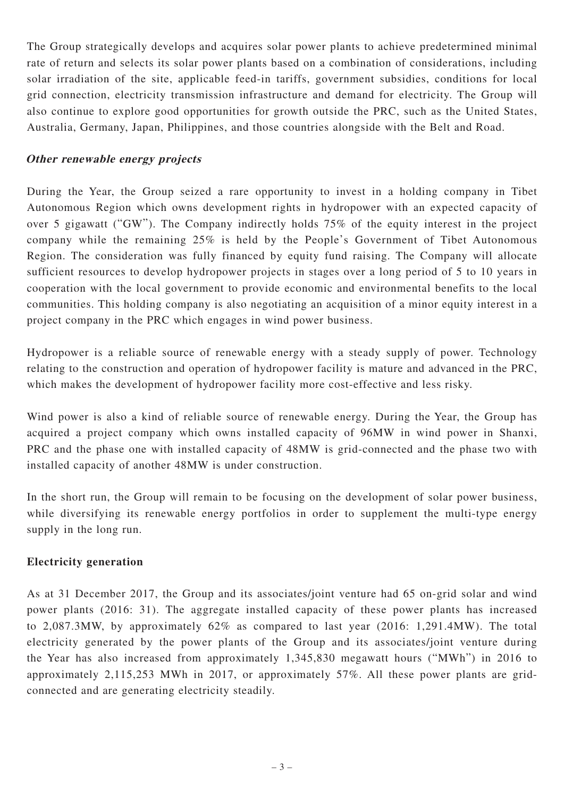The Group strategically develops and acquires solar power plants to achieve predetermined minimal rate of return and selects its solar power plants based on a combination of considerations, including solar irradiation of the site, applicable feed-in tariffs, government subsidies, conditions for local grid connection, electricity transmission infrastructure and demand for electricity. The Group will also continue to explore good opportunities for growth outside the PRC, such as the United States, Australia, Germany, Japan, Philippines, and those countries alongside with the Belt and Road.

### **Other renewable energy projects**

During the Year, the Group seized a rare opportunity to invest in a holding company in Tibet Autonomous Region which owns development rights in hydropower with an expected capacity of over 5 gigawatt ("GW"). The Company indirectly holds 75% of the equity interest in the project company while the remaining 25% is held by the People's Government of Tibet Autonomous Region. The consideration was fully financed by equity fund raising. The Company will allocate sufficient resources to develop hydropower projects in stages over a long period of 5 to 10 years in cooperation with the local government to provide economic and environmental benefits to the local communities. This holding company is also negotiating an acquisition of a minor equity interest in a project company in the PRC which engages in wind power business.

Hydropower is a reliable source of renewable energy with a steady supply of power. Technology relating to the construction and operation of hydropower facility is mature and advanced in the PRC, which makes the development of hydropower facility more cost-effective and less risky.

Wind power is also a kind of reliable source of renewable energy. During the Year, the Group has acquired a project company which owns installed capacity of 96MW in wind power in Shanxi, PRC and the phase one with installed capacity of 48MW is grid-connected and the phase two with installed capacity of another 48MW is under construction.

In the short run, the Group will remain to be focusing on the development of solar power business, while diversifying its renewable energy portfolios in order to supplement the multi-type energy supply in the long run.

### **Electricity generation**

As at 31 December 2017, the Group and its associates/joint venture had 65 on-grid solar and wind power plants (2016: 31). The aggregate installed capacity of these power plants has increased to 2,087.3MW, by approximately 62% as compared to last year (2016: 1,291.4MW). The total electricity generated by the power plants of the Group and its associates/joint venture during the Year has also increased from approximately 1,345,830 megawatt hours ("MWh") in 2016 to approximately 2,115,253 MWh in 2017, or approximately 57%. All these power plants are gridconnected and are generating electricity steadily.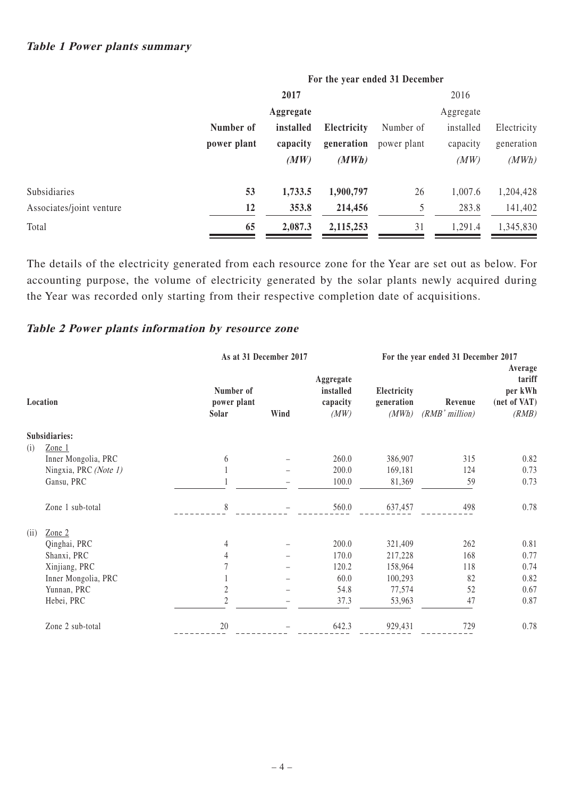|                          |             | 2017      |             |             | 2016      |             |
|--------------------------|-------------|-----------|-------------|-------------|-----------|-------------|
|                          |             | Aggregate |             |             | Aggregate |             |
|                          | Number of   | installed | Electricity | Number of   | installed | Electricity |
|                          | power plant | capacity  | generation  | power plant | capacity  | generation  |
|                          |             | (MW)      | (MWh)       |             | (MW)      | (MWh)       |
| Subsidiaries             | 53          | 1,733.5   | 1,900,797   | 26          | 1,007.6   | 1,204,428   |
| Associates/joint venture | 12          | 353.8     | 214,456     | 5           | 283.8     | 141,402     |
| Total                    | 65          | 2,087.3   | 2,115,253   | 31          | 1,291.4   | 1,345,830   |
|                          |             |           |             |             |           |             |

The details of the electricity generated from each resource zone for the Year are set out as below. For accounting purpose, the volume of electricity generated by the solar plants newly acquired during the Year was recorded only starting from their respective completion date of acquisitions.

### **Table 2 Power plants information by resource zone**

|      |                       | As at 31 December 2017            |      |                                            |                                    | For the year ended 31 December 2017 |                                                       |
|------|-----------------------|-----------------------------------|------|--------------------------------------------|------------------------------------|-------------------------------------|-------------------------------------------------------|
|      | Location              | Number of<br>power plant<br>Solar | Wind | Aggregate<br>installed<br>capacity<br>(MW) | Electricity<br>generation<br>(MWh) | Revenue<br>(RMB'million)            | Average<br>tariff<br>per kWh<br>(net of VAT)<br>(RMB) |
|      | Subsidiaries:         |                                   |      |                                            |                                    |                                     |                                                       |
| (i)  | Zone 1                |                                   |      |                                            |                                    |                                     |                                                       |
|      | Inner Mongolia, PRC   | 6                                 |      | 260.0                                      | 386,907                            | 315                                 | 0.82                                                  |
|      | Ningxia, PRC (Note 1) |                                   |      | 200.0                                      | 169,181                            | 124                                 | 0.73                                                  |
|      | Gansu, PRC            |                                   |      | 100.0                                      | 81,369                             | 59                                  | 0.73                                                  |
|      | Zone 1 sub-total      | 8                                 |      | 560.0                                      | 637,457                            | 498                                 | 0.78                                                  |
| (ii) | Zone $2$              |                                   |      |                                            |                                    |                                     |                                                       |
|      | Qinghai, PRC          | 4                                 |      | 200.0                                      | 321,409                            | 262                                 | 0.81                                                  |
|      | Shanxi, PRC           | 4                                 |      | 170.0                                      | 217,228                            | 168                                 | 0.77                                                  |
|      | Xinjiang, PRC         |                                   |      | 120.2                                      | 158,964                            | 118                                 | 0.74                                                  |
|      | Inner Mongolia, PRC   |                                   |      | 60.0                                       | 100,293                            | 82                                  | 0.82                                                  |
|      | Yunnan, PRC           | $\overline{c}$                    |      | 54.8                                       | 77,574                             | 52                                  | 0.67                                                  |
|      | Hebei, PRC            | $\mathfrak{D}$                    |      | 37.3                                       | 53,963                             | 47                                  | 0.87                                                  |
|      | Zone 2 sub-total      | 20                                |      | 642.3                                      | 929,431                            | 729                                 | 0.78                                                  |

# **For the year ended 31 December**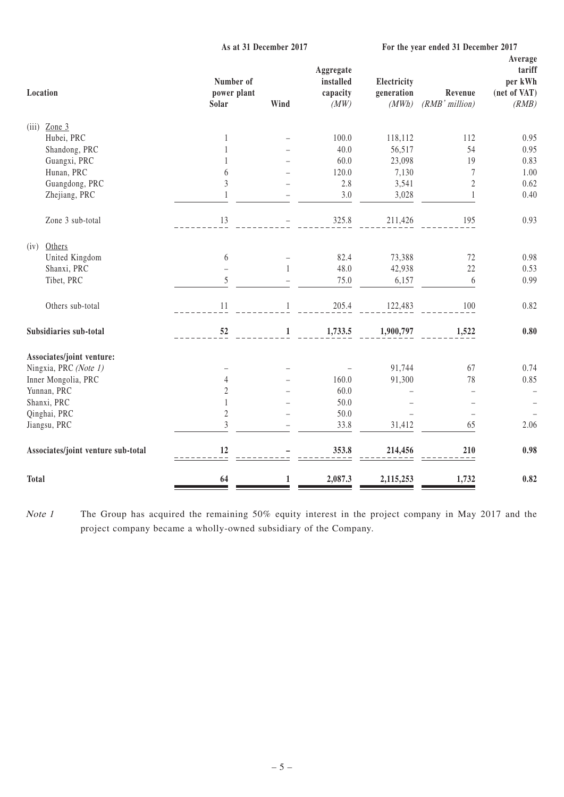| As at 31 December 2017 |              |                                            | For the year ended 31 December 2017 |                                                                   |                                                       |
|------------------------|--------------|--------------------------------------------|-------------------------------------|-------------------------------------------------------------------|-------------------------------------------------------|
| Solar                  | Wind         | Aggregate<br>installed<br>capacity<br>(MW) | Electricity<br>generation<br>(MWh)  | Revenue<br>(RMB'million)                                          | Average<br>tariff<br>per kWh<br>(net of VAT)<br>(RMB) |
|                        |              |                                            |                                     |                                                                   |                                                       |
| $\mathbf{1}$           |              |                                            |                                     |                                                                   | 0.95                                                  |
| 1                      |              | 40.0                                       |                                     | 54                                                                | 0.95                                                  |
| 1                      |              | 60.0                                       |                                     | 19                                                                | 0.83                                                  |
| 6                      |              | 120.0                                      |                                     | 7                                                                 | 1.00                                                  |
| 3                      |              | $2.8\,$                                    |                                     | $\sqrt{2}$                                                        | 0.62                                                  |
| 1                      |              | 3.0                                        | 3,028                               | $\mathbf{1}$                                                      | 0.40                                                  |
| 13                     |              | 325.8                                      | 211,426                             | 195                                                               | 0.93                                                  |
|                        |              |                                            |                                     |                                                                   |                                                       |
|                        |              | 82.4                                       |                                     | 72                                                                | 0.98                                                  |
|                        | $\mathbf{1}$ | 48.0                                       | 42,938                              | 22                                                                | 0.53                                                  |
| 5                      |              | 75.0                                       | 6,157                               | $\boldsymbol{6}$                                                  | 0.99                                                  |
| 11                     | $\mathbf{1}$ | 205.4                                      | 122,483                             | 100                                                               | 0.82                                                  |
| 52                     | $\mathbf{1}$ | 1,733.5                                    | 1,900,797                           | 1,522                                                             | 0.80                                                  |
|                        |              |                                            |                                     |                                                                   |                                                       |
|                        |              |                                            | 91,744                              | 67                                                                | 0.74                                                  |
| $\overline{4}$         |              | 160.0                                      |                                     | 78                                                                | 0.85                                                  |
| $\overline{c}$         |              | 60.0                                       |                                     | $\overline{\phantom{0}}$                                          |                                                       |
| $\mathbf{1}$           |              | 50.0                                       |                                     |                                                                   |                                                       |
| $\sqrt{2}$             |              | 50.0                                       |                                     |                                                                   |                                                       |
| $\overline{3}$         |              | 33.8                                       | 31,412                              | 65                                                                | 2.06                                                  |
| 12                     |              | 353.8                                      | 214,456                             | 210                                                               | 0.98                                                  |
| 64                     | $\mathbf{1}$ | 2,087.3                                    | 2,115,253                           | 1,732                                                             | 0.82                                                  |
|                        | 6            | Number of<br>power plant                   | 100.0                               | 118,112<br>56,517<br>23,098<br>7,130<br>3,541<br>73,388<br>91,300 | 112                                                   |

Note 1 The Group has acquired the remaining 50% equity interest in the project company in May 2017 and the project company became a wholly-owned subsidiary of the Company.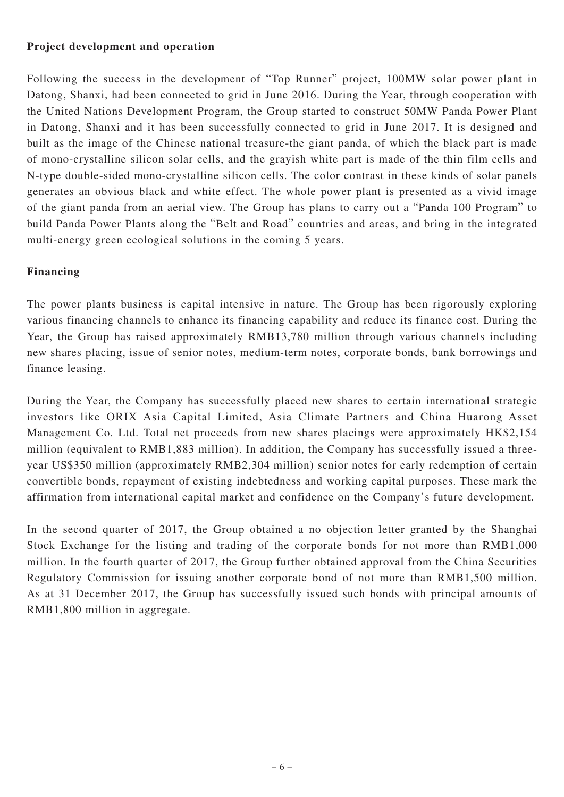### **Project development and operation**

Following the success in the development of "Top Runner" project, 100MW solar power plant in Datong, Shanxi, had been connected to grid in June 2016. During the Year, through cooperation with the United Nations Development Program, the Group started to construct 50MW Panda Power Plant in Datong, Shanxi and it has been successfully connected to grid in June 2017. It is designed and built as the image of the Chinese national treasure-the giant panda, of which the black part is made of mono-crystalline silicon solar cells, and the grayish white part is made of the thin film cells and N-type double-sided mono-crystalline silicon cells. The color contrast in these kinds of solar panels generates an obvious black and white effect. The whole power plant is presented as a vivid image of the giant panda from an aerial view. The Group has plans to carry out a "Panda 100 Program" to build Panda Power Plants along the "Belt and Road" countries and areas, and bring in the integrated multi-energy green ecological solutions in the coming 5 years.

### **Financing**

The power plants business is capital intensive in nature. The Group has been rigorously exploring various financing channels to enhance its financing capability and reduce its finance cost. During the Year, the Group has raised approximately RMB13,780 million through various channels including new shares placing, issue of senior notes, medium-term notes, corporate bonds, bank borrowings and finance leasing.

During the Year, the Company has successfully placed new shares to certain international strategic investors like ORIX Asia Capital Limited, Asia Climate Partners and China Huarong Asset Management Co. Ltd. Total net proceeds from new shares placings were approximately HK\$2,154 million (equivalent to RMB1,883 million). In addition, the Company has successfully issued a threeyear US\$350 million (approximately RMB2,304 million) senior notes for early redemption of certain convertible bonds, repayment of existing indebtedness and working capital purposes. These mark the affirmation from international capital market and confidence on the Company's future development.

In the second quarter of 2017, the Group obtained a no objection letter granted by the Shanghai Stock Exchange for the listing and trading of the corporate bonds for not more than RMB1,000 million. In the fourth quarter of 2017, the Group further obtained approval from the China Securities Regulatory Commission for issuing another corporate bond of not more than RMB1,500 million. As at 31 December 2017, the Group has successfully issued such bonds with principal amounts of RMB1,800 million in aggregate.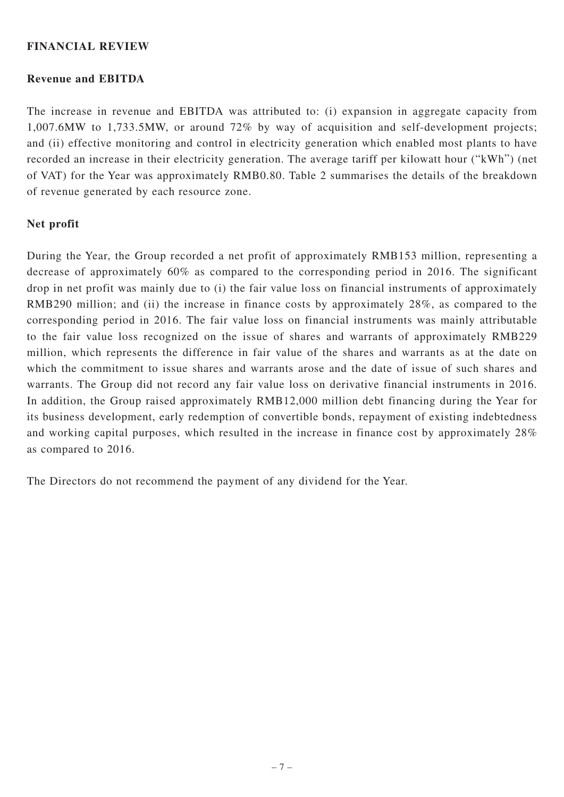#### **FINANCIAL REVIEW**

#### **Revenue and EBITDA**

The increase in revenue and EBITDA was attributed to: (i) expansion in aggregate capacity from 1,007.6MW to 1,733.5MW, or around 72% by way of acquisition and self-development projects; and (ii) effective monitoring and control in electricity generation which enabled most plants to have recorded an increase in their electricity generation. The average tariff per kilowatt hour ("kWh") (net of VAT) for the Year was approximately RMB0.80. Table 2 summarises the details of the breakdown of revenue generated by each resource zone.

#### **Net profit**

During the Year, the Group recorded a net profit of approximately RMB153 million, representing a decrease of approximately 60% as compared to the corresponding period in 2016. The significant drop in net profit was mainly due to (i) the fair value loss on financial instruments of approximately RMB290 million; and (ii) the increase in finance costs by approximately 28%, as compared to the corresponding period in 2016. The fair value loss on financial instruments was mainly attributable to the fair value loss recognized on the issue of shares and warrants of approximately RMB229 million, which represents the difference in fair value of the shares and warrants as at the date on which the commitment to issue shares and warrants arose and the date of issue of such shares and warrants. The Group did not record any fair value loss on derivative financial instruments in 2016. In addition, the Group raised approximately RMB12,000 million debt financing during the Year for its business development, early redemption of convertible bonds, repayment of existing indebtedness and working capital purposes, which resulted in the increase in finance cost by approximately 28% as compared to 2016.

The Directors do not recommend the payment of any dividend for the Year.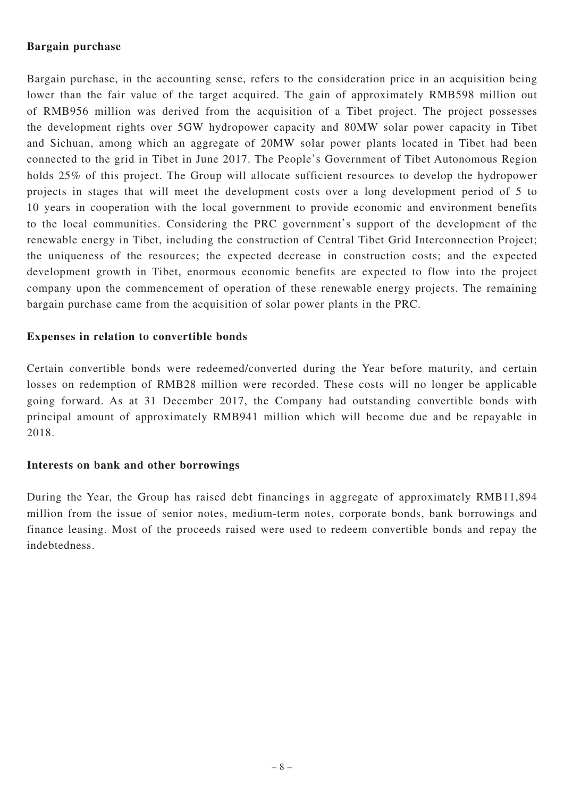#### **Bargain purchase**

Bargain purchase, in the accounting sense, refers to the consideration price in an acquisition being lower than the fair value of the target acquired. The gain of approximately RMB598 million out of RMB956 million was derived from the acquisition of a Tibet project. The project possesses the development rights over 5GW hydropower capacity and 80MW solar power capacity in Tibet and Sichuan, among which an aggregate of 20MW solar power plants located in Tibet had been connected to the grid in Tibet in June 2017. The People's Government of Tibet Autonomous Region holds 25% of this project. The Group will allocate sufficient resources to develop the hydropower projects in stages that will meet the development costs over a long development period of 5 to 10 years in cooperation with the local government to provide economic and environment benefits to the local communities. Considering the PRC government's support of the development of the renewable energy in Tibet, including the construction of Central Tibet Grid Interconnection Project; the uniqueness of the resources; the expected decrease in construction costs; and the expected development growth in Tibet, enormous economic benefits are expected to flow into the project company upon the commencement of operation of these renewable energy projects. The remaining bargain purchase came from the acquisition of solar power plants in the PRC.

### **Expenses in relation to convertible bonds**

Certain convertible bonds were redeemed/converted during the Year before maturity, and certain losses on redemption of RMB28 million were recorded. These costs will no longer be applicable going forward. As at 31 December 2017, the Company had outstanding convertible bonds with principal amount of approximately RMB941 million which will become due and be repayable in 2018.

#### **Interests on bank and other borrowings**

During the Year, the Group has raised debt financings in aggregate of approximately RMB11,894 million from the issue of senior notes, medium-term notes, corporate bonds, bank borrowings and finance leasing. Most of the proceeds raised were used to redeem convertible bonds and repay the indebtedness.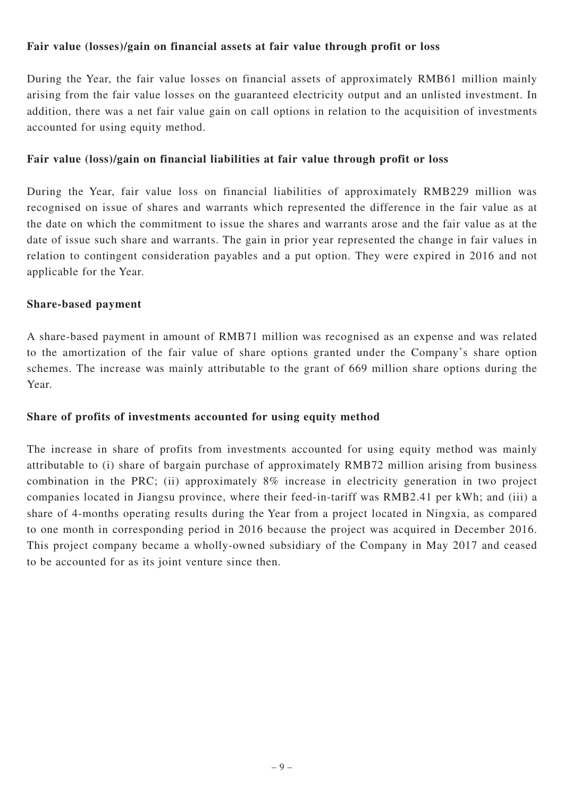#### **Fair value (losses)/gain on financial assets at fair value through profit or loss**

During the Year, the fair value losses on financial assets of approximately RMB61 million mainly arising from the fair value losses on the guaranteed electricity output and an unlisted investment. In addition, there was a net fair value gain on call options in relation to the acquisition of investments accounted for using equity method.

### **Fair value (loss)/gain on financial liabilities at fair value through profit or loss**

During the Year, fair value loss on financial liabilities of approximately RMB229 million was recognised on issue of shares and warrants which represented the difference in the fair value as at the date on which the commitment to issue the shares and warrants arose and the fair value as at the date of issue such share and warrants. The gain in prior year represented the change in fair values in relation to contingent consideration payables and a put option. They were expired in 2016 and not applicable for the Year.

#### **Share-based payment**

A share-based payment in amount of RMB71 million was recognised as an expense and was related to the amortization of the fair value of share options granted under the Company's share option schemes. The increase was mainly attributable to the grant of 669 million share options during the Year.

### **Share of profits of investments accounted for using equity method**

The increase in share of profits from investments accounted for using equity method was mainly attributable to (i) share of bargain purchase of approximately RMB72 million arising from business combination in the PRC; (ii) approximately 8% increase in electricity generation in two project companies located in Jiangsu province, where their feed-in-tariff was RMB2.41 per kWh; and (iii) a share of 4-months operating results during the Year from a project located in Ningxia, as compared to one month in corresponding period in 2016 because the project was acquired in December 2016. This project company became a wholly-owned subsidiary of the Company in May 2017 and ceased to be accounted for as its joint venture since then.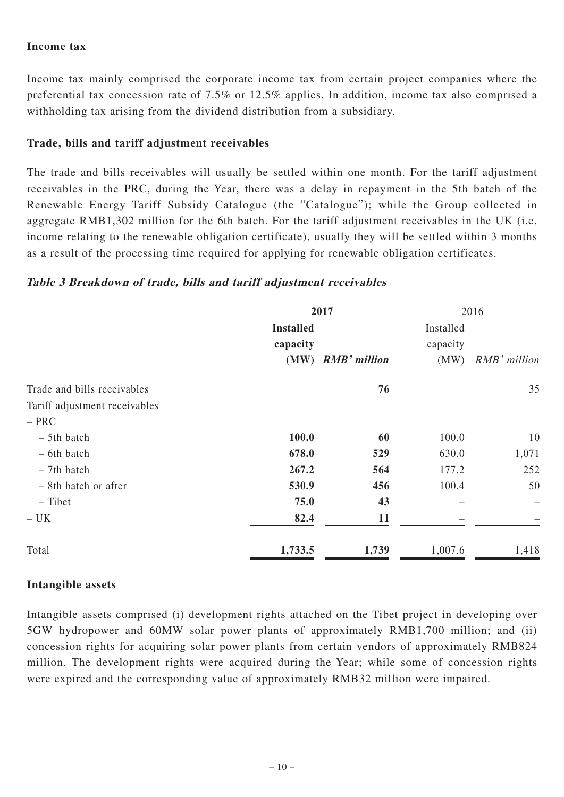#### **Income tax**

Income tax mainly comprised the corporate income tax from certain project companies where the preferential tax concession rate of 7.5% or 12.5% applies. In addition, income tax also comprised a withholding tax arising from the dividend distribution from a subsidiary.

### **Trade, bills and tariff adjustment receivables**

The trade and bills receivables will usually be settled within one month. For the tariff adjustment receivables in the PRC, during the Year, there was a delay in repayment in the 5th batch of the Renewable Energy Tariff Subsidy Catalogue (the "Catalogue"); while the Group collected in aggregate RMB1,302 million for the 6th batch. For the tariff adjustment receivables in the UK (i.e. income relating to the renewable obligation certificate), usually they will be settled within 3 months as a result of the processing time required for applying for renewable obligation certificates.

### **Table 3 Breakdown of trade, bills and tariff adjustment receivables**

|                               | 2017                         |                   | 2016                  |              |
|-------------------------------|------------------------------|-------------------|-----------------------|--------------|
|                               | <b>Installed</b><br>capacity |                   | Installed<br>capacity |              |
|                               |                              | (MW) RMB' million | (MW)                  | RMB' million |
| Trade and bills receivables   |                              | 76                |                       | 35           |
| Tariff adjustment receivables |                              |                   |                       |              |
| $- PRC$                       |                              |                   |                       |              |
| $-$ 5th batch                 | 100.0                        | 60                | 100.0                 | 10           |
| - 6th batch                   | 678.0                        | 529               | 630.0                 | 1,071        |
| $-7th$ batch                  | 267.2                        | 564               | 177.2                 | 252          |
| - 8th batch or after          | 530.9                        | 456               | 100.4                 | 50           |
| - Tibet                       | 75.0                         | 43                |                       |              |
| $- UK$                        | 82.4                         | 11                |                       |              |
| Total                         | 1,733.5                      | 1,739             | 1,007.6               | 1,418        |

#### **Intangible assets**

Intangible assets comprised (i) development rights attached on the Tibet project in developing over 5GW hydropower and 60MW solar power plants of approximately RMB1,700 million; and (ii) concession rights for acquiring solar power plants from certain vendors of approximately RMB824 million. The development rights were acquired during the Year; while some of concession rights were expired and the corresponding value of approximately RMB32 million were impaired.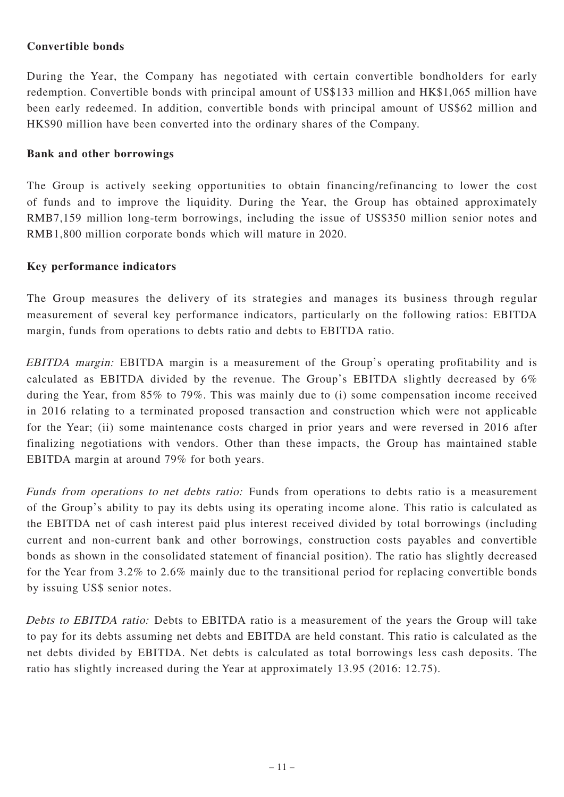### **Convertible bonds**

During the Year, the Company has negotiated with certain convertible bondholders for early redemption. Convertible bonds with principal amount of US\$133 million and HK\$1,065 million have been early redeemed. In addition, convertible bonds with principal amount of US\$62 million and HK\$90 million have been converted into the ordinary shares of the Company.

#### **Bank and other borrowings**

The Group is actively seeking opportunities to obtain financing/refinancing to lower the cost of funds and to improve the liquidity. During the Year, the Group has obtained approximately RMB7,159 million long-term borrowings, including the issue of US\$350 million senior notes and RMB1,800 million corporate bonds which will mature in 2020.

#### **Key performance indicators**

The Group measures the delivery of its strategies and manages its business through regular measurement of several key performance indicators, particularly on the following ratios: EBITDA margin, funds from operations to debts ratio and debts to EBITDA ratio.

EBITDA margin: EBITDA margin is a measurement of the Group's operating profitability and is calculated as EBITDA divided by the revenue. The Group's EBITDA slightly decreased by 6% during the Year, from 85% to 79%. This was mainly due to (i) some compensation income received in 2016 relating to a terminated proposed transaction and construction which were not applicable for the Year; (ii) some maintenance costs charged in prior years and were reversed in 2016 after finalizing negotiations with vendors. Other than these impacts, the Group has maintained stable EBITDA margin at around 79% for both years.

Funds from operations to net debts ratio: Funds from operations to debts ratio is a measurement of the Group's ability to pay its debts using its operating income alone. This ratio is calculated as the EBITDA net of cash interest paid plus interest received divided by total borrowings (including current and non-current bank and other borrowings, construction costs payables and convertible bonds as shown in the consolidated statement of financial position). The ratio has slightly decreased for the Year from 3.2% to 2.6% mainly due to the transitional period for replacing convertible bonds by issuing US\$ senior notes.

Debts to EBITDA ratio: Debts to EBITDA ratio is a measurement of the years the Group will take to pay for its debts assuming net debts and EBITDA are held constant. This ratio is calculated as the net debts divided by EBITDA. Net debts is calculated as total borrowings less cash deposits. The ratio has slightly increased during the Year at approximately 13.95 (2016: 12.75).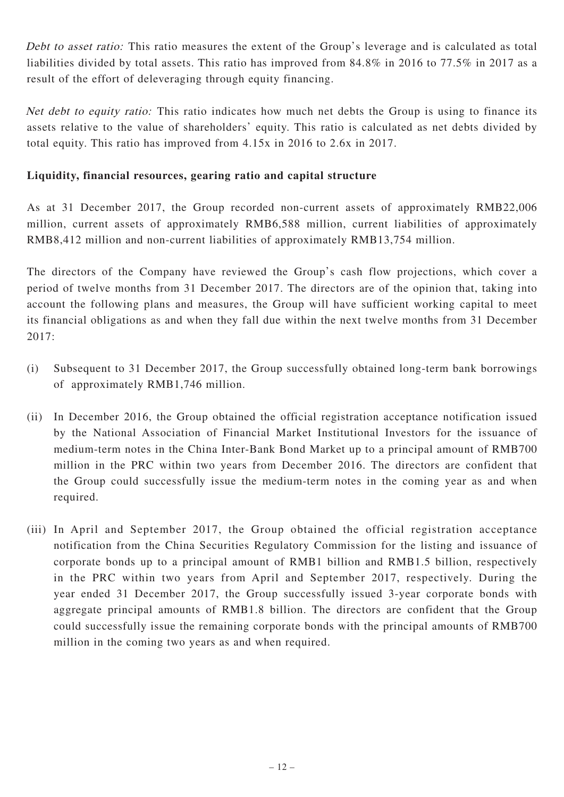Debt to asset ratio: This ratio measures the extent of the Group's leverage and is calculated as total liabilities divided by total assets. This ratio has improved from 84.8% in 2016 to 77.5% in 2017 as a result of the effort of deleveraging through equity financing.

Net debt to equity ratio: This ratio indicates how much net debts the Group is using to finance its assets relative to the value of shareholders' equity. This ratio is calculated as net debts divided by total equity. This ratio has improved from 4.15x in 2016 to 2.6x in 2017.

### **Liquidity, financial resources, gearing ratio and capital structure**

As at 31 December 2017, the Group recorded non-current assets of approximately RMB22,006 million, current assets of approximately RMB6,588 million, current liabilities of approximately RMB8,412 million and non-current liabilities of approximately RMB13,754 million.

The directors of the Company have reviewed the Group's cash flow projections, which cover a period of twelve months from 31 December 2017. The directors are of the opinion that, taking into account the following plans and measures, the Group will have sufficient working capital to meet its financial obligations as and when they fall due within the next twelve months from 31 December 2017:

- (i) Subsequent to 31 December 2017, the Group successfully obtained long-term bank borrowings of approximately RMB1,746 million.
- (ii) In December 2016, the Group obtained the official registration acceptance notification issued by the National Association of Financial Market Institutional Investors for the issuance of medium-term notes in the China Inter-Bank Bond Market up to a principal amount of RMB700 million in the PRC within two years from December 2016. The directors are confident that the Group could successfully issue the medium-term notes in the coming year as and when required.
- (iii) In April and September 2017, the Group obtained the official registration acceptance notification from the China Securities Regulatory Commission for the listing and issuance of corporate bonds up to a principal amount of RMB1 billion and RMB1.5 billion, respectively in the PRC within two years from April and September 2017, respectively. During the year ended 31 December 2017, the Group successfully issued 3-year corporate bonds with aggregate principal amounts of RMB1.8 billion. The directors are confident that the Group could successfully issue the remaining corporate bonds with the principal amounts of RMB700 million in the coming two years as and when required.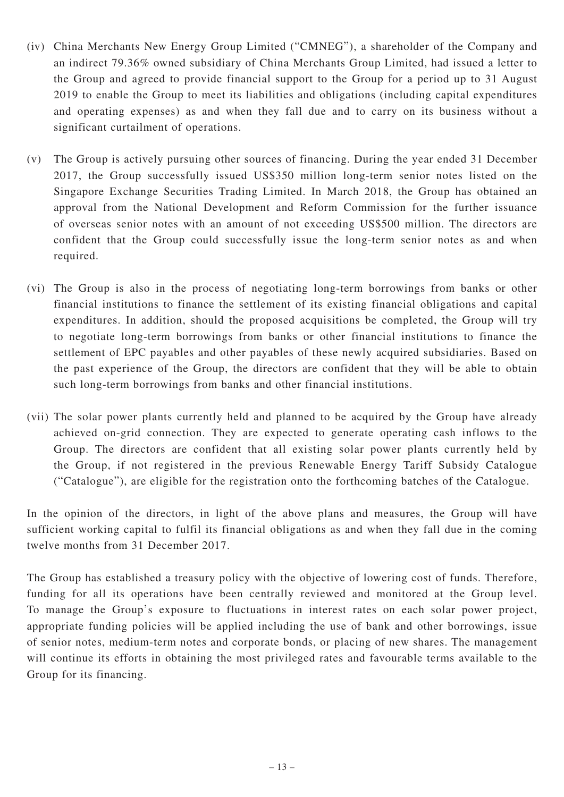- (iv) China Merchants New Energy Group Limited ("CMNEG"), a shareholder of the Company and an indirect 79.36% owned subsidiary of China Merchants Group Limited, had issued a letter to the Group and agreed to provide financial support to the Group for a period up to 31 August 2019 to enable the Group to meet its liabilities and obligations (including capital expenditures and operating expenses) as and when they fall due and to carry on its business without a significant curtailment of operations.
- (v) The Group is actively pursuing other sources of financing. During the year ended 31 December 2017, the Group successfully issued US\$350 million long-term senior notes listed on the Singapore Exchange Securities Trading Limited. In March 2018, the Group has obtained an approval from the National Development and Reform Commission for the further issuance of overseas senior notes with an amount of not exceeding US\$500 million. The directors are confident that the Group could successfully issue the long-term senior notes as and when required.
- (vi) The Group is also in the process of negotiating long-term borrowings from banks or other financial institutions to finance the settlement of its existing financial obligations and capital expenditures. In addition, should the proposed acquisitions be completed, the Group will try to negotiate long-term borrowings from banks or other financial institutions to finance the settlement of EPC payables and other payables of these newly acquired subsidiaries. Based on the past experience of the Group, the directors are confident that they will be able to obtain such long-term borrowings from banks and other financial institutions.
- (vii) The solar power plants currently held and planned to be acquired by the Group have already achieved on-grid connection. They are expected to generate operating cash inflows to the Group. The directors are confident that all existing solar power plants currently held by the Group, if not registered in the previous Renewable Energy Tariff Subsidy Catalogue ("Catalogue"), are eligible for the registration onto the forthcoming batches of the Catalogue.

In the opinion of the directors, in light of the above plans and measures, the Group will have sufficient working capital to fulfil its financial obligations as and when they fall due in the coming twelve months from 31 December 2017.

The Group has established a treasury policy with the objective of lowering cost of funds. Therefore, funding for all its operations have been centrally reviewed and monitored at the Group level. To manage the Group's exposure to fluctuations in interest rates on each solar power project, appropriate funding policies will be applied including the use of bank and other borrowings, issue of senior notes, medium-term notes and corporate bonds, or placing of new shares. The management will continue its efforts in obtaining the most privileged rates and favourable terms available to the Group for its financing.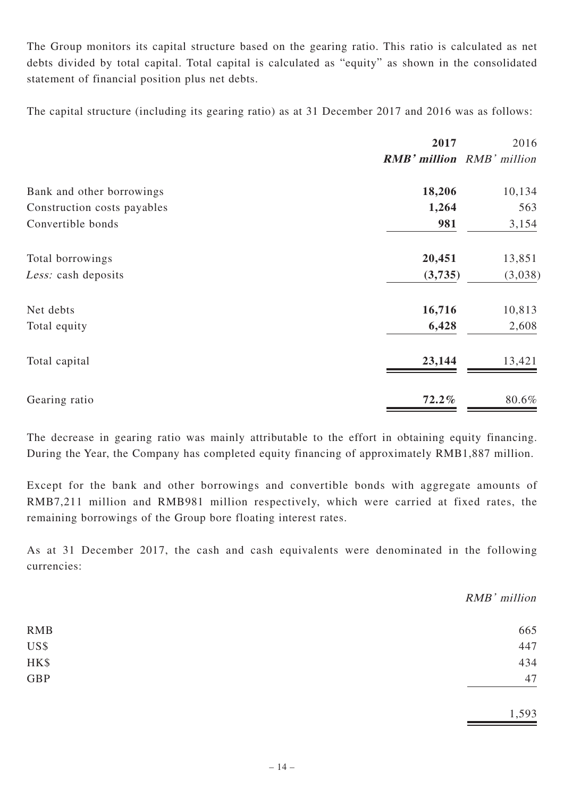The Group monitors its capital structure based on the gearing ratio. This ratio is calculated as net debts divided by total capital. Total capital is calculated as "equity" as shown in the consolidated statement of financial position plus net debts.

The capital structure (including its gearing ratio) as at 31 December 2017 and 2016 was as follows:

|                             | 2017     | 2016<br><b>RMB' million</b> RMB' million |
|-----------------------------|----------|------------------------------------------|
|                             |          |                                          |
| Bank and other borrowings   | 18,206   | 10,134                                   |
| Construction costs payables | 1,264    | 563                                      |
| Convertible bonds           | 981      | 3,154                                    |
| Total borrowings            | 20,451   | 13,851                                   |
| Less: cash deposits         | (3,735)  | (3,038)                                  |
| Net debts                   | 16,716   | 10,813                                   |
| Total equity                | 6,428    | 2,608                                    |
| Total capital               | 23,144   | 13,421                                   |
| Gearing ratio               | $72.2\%$ | 80.6%                                    |

The decrease in gearing ratio was mainly attributable to the effort in obtaining equity financing. During the Year, the Company has completed equity financing of approximately RMB1,887 million.

Except for the bank and other borrowings and convertible bonds with aggregate amounts of RMB7,211 million and RMB981 million respectively, which were carried at fixed rates, the remaining borrowings of the Group bore floating interest rates.

As at 31 December 2017, the cash and cash equivalents were denominated in the following currencies:

|            | RMB' million |
|------------|--------------|
| <b>RMB</b> | 665          |
| US\$       | 447          |
| HK\$       | 434          |
| GBP        | 47           |
|            | 1,593        |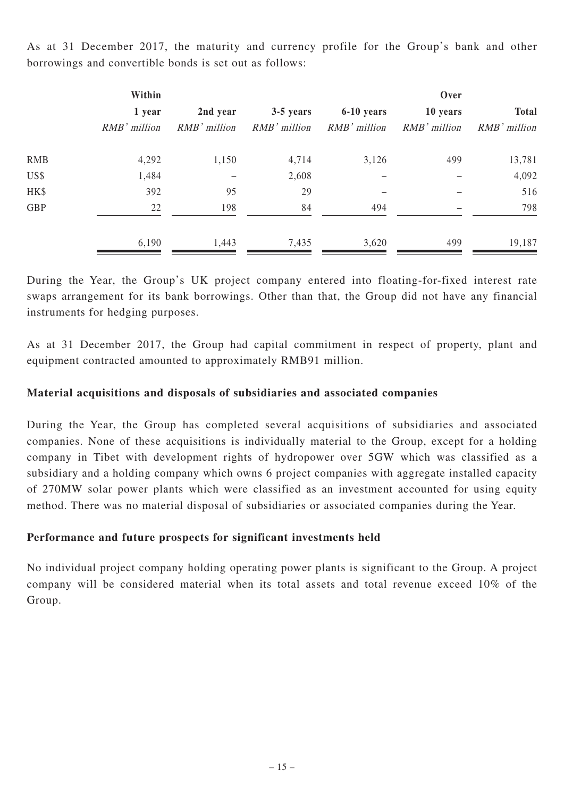|            | Within       |                |              |                | Over         |              |
|------------|--------------|----------------|--------------|----------------|--------------|--------------|
|            | 1 year       | 2nd year       | 3-5 years    | 6-10 years     | 10 years     | <b>Total</b> |
|            | RMB' million | $RMB'$ million | RMB' million | $RMB'$ million | RMB' million | RMB' million |
| <b>RMB</b> | 4,292        | 1,150          | 4,714        | 3,126          | 499          | 13,781       |
| US\$       | 1,484        |                | 2,608        |                |              | 4,092        |
| HK\$       | 392          | 95             | 29           |                |              | 516          |
| <b>GBP</b> | 22           | 198            | 84           | 494            |              | 798          |
|            | 6,190        | 1,443          | 7,435        | 3,620          | 499          | 19,187       |

As at 31 December 2017, the maturity and currency profile for the Group's bank and other borrowings and convertible bonds is set out as follows:

During the Year, the Group's UK project company entered into floating-for-fixed interest rate swaps arrangement for its bank borrowings. Other than that, the Group did not have any financial instruments for hedging purposes.

As at 31 December 2017, the Group had capital commitment in respect of property, plant and equipment contracted amounted to approximately RMB91 million.

### **Material acquisitions and disposals of subsidiaries and associated companies**

During the Year, the Group has completed several acquisitions of subsidiaries and associated companies. None of these acquisitions is individually material to the Group, except for a holding company in Tibet with development rights of hydropower over 5GW which was classified as a subsidiary and a holding company which owns 6 project companies with aggregate installed capacity of 270MW solar power plants which were classified as an investment accounted for using equity method. There was no material disposal of subsidiaries or associated companies during the Year.

#### **Performance and future prospects for significant investments held**

No individual project company holding operating power plants is significant to the Group. A project company will be considered material when its total assets and total revenue exceed 10% of the Group.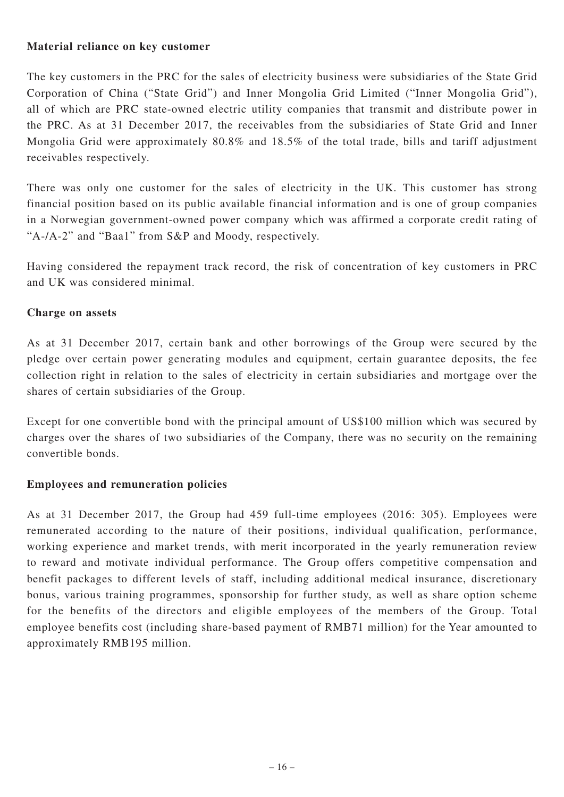### **Material reliance on key customer**

The key customers in the PRC for the sales of electricity business were subsidiaries of the State Grid Corporation of China ("State Grid") and Inner Mongolia Grid Limited ("Inner Mongolia Grid"), all of which are PRC state-owned electric utility companies that transmit and distribute power in the PRC. As at 31 December 2017, the receivables from the subsidiaries of State Grid and Inner Mongolia Grid were approximately 80.8% and 18.5% of the total trade, bills and tariff adjustment receivables respectively.

There was only one customer for the sales of electricity in the UK. This customer has strong financial position based on its public available financial information and is one of group companies in a Norwegian government-owned power company which was affirmed a corporate credit rating of "A-/A-2" and "Baa1" from S&P and Moody, respectively.

Having considered the repayment track record, the risk of concentration of key customers in PRC and UK was considered minimal.

### **Charge on assets**

As at 31 December 2017, certain bank and other borrowings of the Group were secured by the pledge over certain power generating modules and equipment, certain guarantee deposits, the fee collection right in relation to the sales of electricity in certain subsidiaries and mortgage over the shares of certain subsidiaries of the Group.

Except for one convertible bond with the principal amount of US\$100 million which was secured by charges over the shares of two subsidiaries of the Company, there was no security on the remaining convertible bonds.

### **Employees and remuneration policies**

As at 31 December 2017, the Group had 459 full-time employees (2016: 305). Employees were remunerated according to the nature of their positions, individual qualification, performance, working experience and market trends, with merit incorporated in the yearly remuneration review to reward and motivate individual performance. The Group offers competitive compensation and benefit packages to different levels of staff, including additional medical insurance, discretionary bonus, various training programmes, sponsorship for further study, as well as share option scheme for the benefits of the directors and eligible employees of the members of the Group. Total employee benefits cost (including share-based payment of RMB71 million) for the Year amounted to approximately RMB195 million.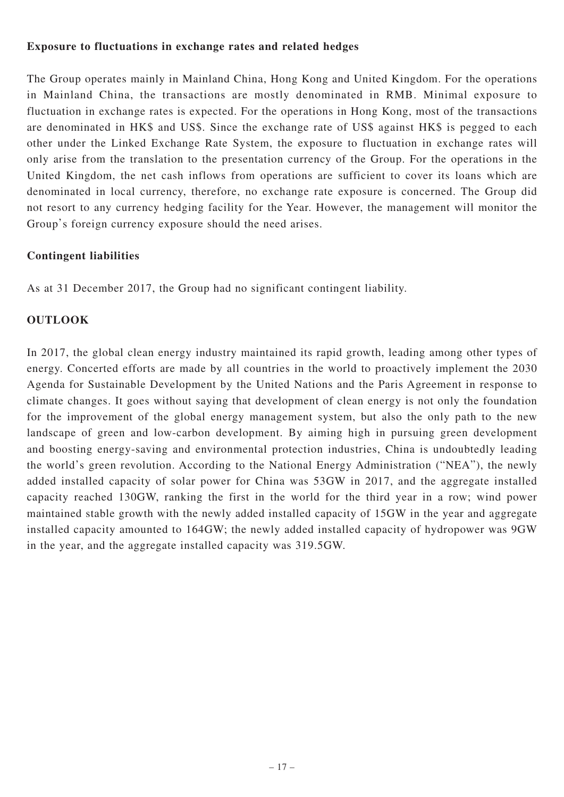#### **Exposure to fluctuations in exchange rates and related hedges**

The Group operates mainly in Mainland China, Hong Kong and United Kingdom. For the operations in Mainland China, the transactions are mostly denominated in RMB. Minimal exposure to fluctuation in exchange rates is expected. For the operations in Hong Kong, most of the transactions are denominated in HK\$ and US\$. Since the exchange rate of US\$ against HK\$ is pegged to each other under the Linked Exchange Rate System, the exposure to fluctuation in exchange rates will only arise from the translation to the presentation currency of the Group. For the operations in the United Kingdom, the net cash inflows from operations are sufficient to cover its loans which are denominated in local currency, therefore, no exchange rate exposure is concerned. The Group did not resort to any currency hedging facility for the Year. However, the management will monitor the Group's foreign currency exposure should the need arises.

### **Contingent liabilities**

As at 31 December 2017, the Group had no significant contingent liability.

### **OUTLOOK**

In 2017, the global clean energy industry maintained its rapid growth, leading among other types of energy. Concerted efforts are made by all countries in the world to proactively implement the 2030 Agenda for Sustainable Development by the United Nations and the Paris Agreement in response to climate changes. It goes without saying that development of clean energy is not only the foundation for the improvement of the global energy management system, but also the only path to the new landscape of green and low-carbon development. By aiming high in pursuing green development and boosting energy-saving and environmental protection industries, China is undoubtedly leading the world's green revolution. According to the National Energy Administration ("NEA"), the newly added installed capacity of solar power for China was 53GW in 2017, and the aggregate installed capacity reached 130GW, ranking the first in the world for the third year in a row; wind power maintained stable growth with the newly added installed capacity of 15GW in the year and aggregate installed capacity amounted to 164GW; the newly added installed capacity of hydropower was 9GW in the year, and the aggregate installed capacity was 319.5GW.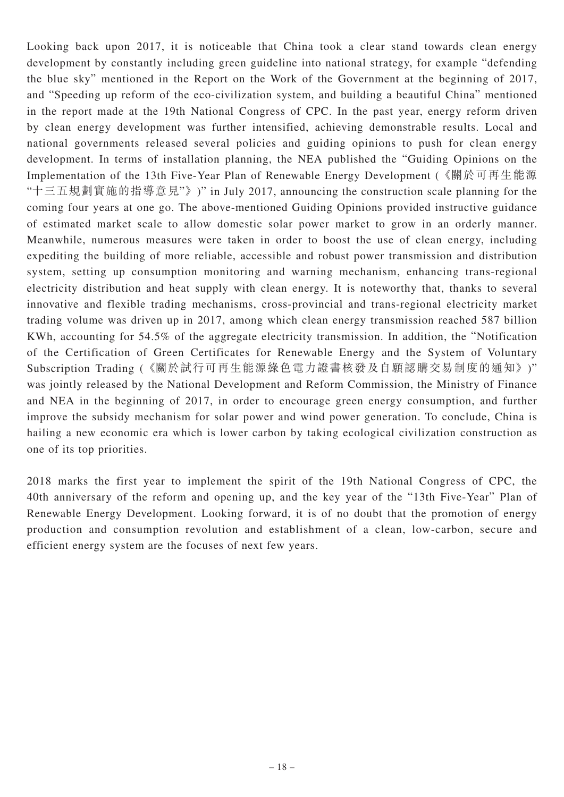Looking back upon 2017, it is noticeable that China took a clear stand towards clean energy development by constantly including green guideline into national strategy, for example "defending the blue sky" mentioned in the Report on the Work of the Government at the beginning of 2017, and "Speeding up reform of the eco-civilization system, and building a beautiful China" mentioned in the report made at the 19th National Congress of CPC. In the past year, energy reform driven by clean energy development was further intensified, achieving demonstrable results. Local and national governments released several policies and guiding opinions to push for clean energy development. In terms of installation planning, the NEA published the "Guiding Opinions on the Implementation of the 13th Five-Year Plan of Renewable Energy Development (《關於可再生能源 "十三五規劃實施的指導意見"》)" in July 2017, announcing the construction scale planning for the coming four years at one go. The above-mentioned Guiding Opinions provided instructive guidance of estimated market scale to allow domestic solar power market to grow in an orderly manner. Meanwhile, numerous measures were taken in order to boost the use of clean energy, including expediting the building of more reliable, accessible and robust power transmission and distribution system, setting up consumption monitoring and warning mechanism, enhancing trans-regional electricity distribution and heat supply with clean energy. It is noteworthy that, thanks to several innovative and flexible trading mechanisms, cross-provincial and trans-regional electricity market trading volume was driven up in 2017, among which clean energy transmission reached 587 billion KWh, accounting for 54.5% of the aggregate electricity transmission. In addition, the "Notification of the Certification of Green Certificates for Renewable Energy and the System of Voluntary Subscription Trading (《關於試行可再生能源綠色電力證書核發及自願認購交易制度的通知》)" was jointly released by the National Development and Reform Commission, the Ministry of Finance and NEA in the beginning of 2017, in order to encourage green energy consumption, and further improve the subsidy mechanism for solar power and wind power generation. To conclude, China is hailing a new economic era which is lower carbon by taking ecological civilization construction as one of its top priorities.

2018 marks the first year to implement the spirit of the 19th National Congress of CPC, the 40th anniversary of the reform and opening up, and the key year of the "13th Five-Year" Plan of Renewable Energy Development. Looking forward, it is of no doubt that the promotion of energy production and consumption revolution and establishment of a clean, low-carbon, secure and efficient energy system are the focuses of next few years.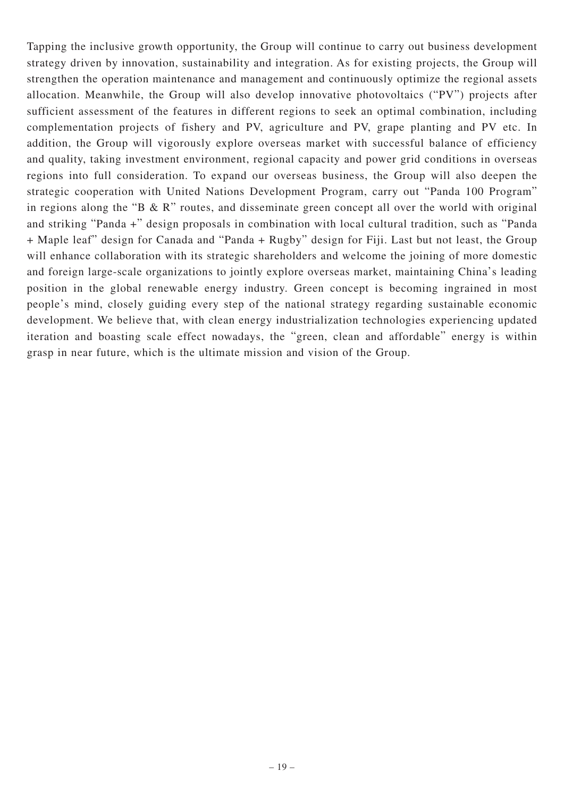Tapping the inclusive growth opportunity, the Group will continue to carry out business development strategy driven by innovation, sustainability and integration. As for existing projects, the Group will strengthen the operation maintenance and management and continuously optimize the regional assets allocation. Meanwhile, the Group will also develop innovative photovoltaics ("PV") projects after sufficient assessment of the features in different regions to seek an optimal combination, including complementation projects of fishery and PV, agriculture and PV, grape planting and PV etc. In addition, the Group will vigorously explore overseas market with successful balance of efficiency and quality, taking investment environment, regional capacity and power grid conditions in overseas regions into full consideration. To expand our overseas business, the Group will also deepen the strategic cooperation with United Nations Development Program, carry out "Panda 100 Program" in regions along the "B  $\&$  R" routes, and disseminate green concept all over the world with original and striking "Panda +" design proposals in combination with local cultural tradition, such as "Panda + Maple leaf" design for Canada and "Panda + Rugby" design for Fiji. Last but not least, the Group will enhance collaboration with its strategic shareholders and welcome the joining of more domestic and foreign large-scale organizations to jointly explore overseas market, maintaining China's leading position in the global renewable energy industry. Green concept is becoming ingrained in most people's mind, closely guiding every step of the national strategy regarding sustainable economic development. We believe that, with clean energy industrialization technologies experiencing updated iteration and boasting scale effect nowadays, the "green, clean and affordable" energy is within grasp in near future, which is the ultimate mission and vision of the Group.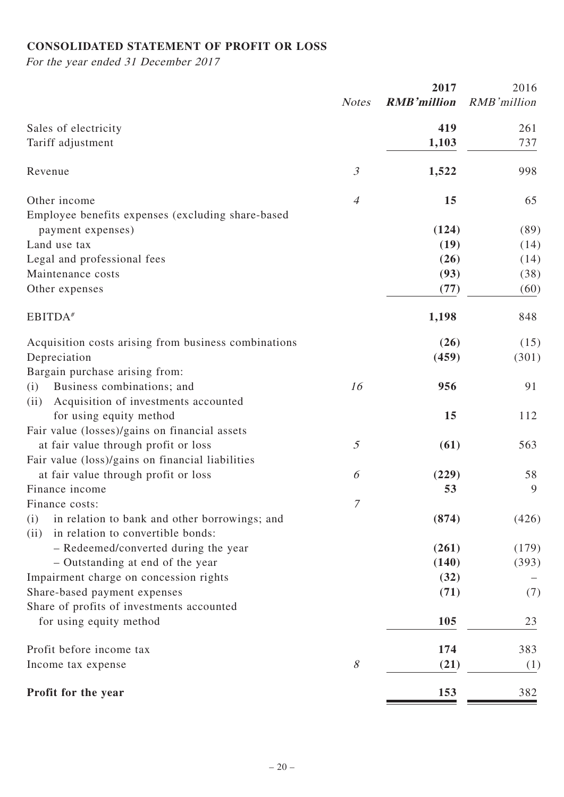# **CONSOLIDATED STATEMENT OF PROFIT OR LOSS**

For the year ended 31 December 2017

|                                                                                                   | 2017           |                    | 2016         |  |
|---------------------------------------------------------------------------------------------------|----------------|--------------------|--------------|--|
|                                                                                                   | <b>Notes</b>   | <b>RMB'million</b> | RMB'million  |  |
| Sales of electricity                                                                              |                | 419                | 261          |  |
| Tariff adjustment                                                                                 |                | 1,103              | 737          |  |
| Revenue                                                                                           | $\mathfrak{Z}$ | 1,522              | 998          |  |
| Other income                                                                                      | $\overline{4}$ | 15                 | 65           |  |
| Employee benefits expenses (excluding share-based                                                 |                | (124)              | (89)         |  |
| payment expenses)<br>Land use tax                                                                 |                | (19)               |              |  |
| Legal and professional fees                                                                       |                | (26)               | (14)<br>(14) |  |
| Maintenance costs                                                                                 |                | (93)               | (38)         |  |
| Other expenses                                                                                    |                | (77)               | (60)         |  |
| EBITDA <sup>#</sup>                                                                               |                | 1,198              | 848          |  |
| Acquisition costs arising from business combinations                                              |                | (26)               | (15)         |  |
| Depreciation                                                                                      |                | (459)              | (301)        |  |
| Bargain purchase arising from:                                                                    |                |                    |              |  |
| Business combinations; and<br>(i)                                                                 | 16             | 956                | 91           |  |
| Acquisition of investments accounted<br>(ii)                                                      |                |                    |              |  |
| for using equity method                                                                           |                | 15                 | 112          |  |
| Fair value (losses)/gains on financial assets                                                     |                |                    |              |  |
| at fair value through profit or loss                                                              | $\mathfrak{I}$ | (61)               | 563          |  |
| Fair value (loss)/gains on financial liabilities                                                  |                |                    |              |  |
| at fair value through profit or loss                                                              | 6              | (229)              | 58           |  |
| Finance income                                                                                    |                | 53                 | 9            |  |
| Finance costs:                                                                                    | 7              |                    |              |  |
| in relation to bank and other borrowings; and<br>(i)<br>in relation to convertible bonds:<br>(ii) |                | (874)              | (426)        |  |
| - Redeemed/converted during the year                                                              |                | (261)              | (179)        |  |
| - Outstanding at end of the year                                                                  |                | (140)              | (393)        |  |
| Impairment charge on concession rights                                                            |                | (32)               |              |  |
| Share-based payment expenses                                                                      |                | (71)               | (7)          |  |
| Share of profits of investments accounted                                                         |                |                    |              |  |
| for using equity method                                                                           |                | 105                | 23           |  |
| Profit before income tax                                                                          |                | 174                | 383          |  |
| Income tax expense                                                                                | 8              | (21)               | (1)          |  |
| Profit for the year                                                                               |                | 153                | 382          |  |
|                                                                                                   |                |                    |              |  |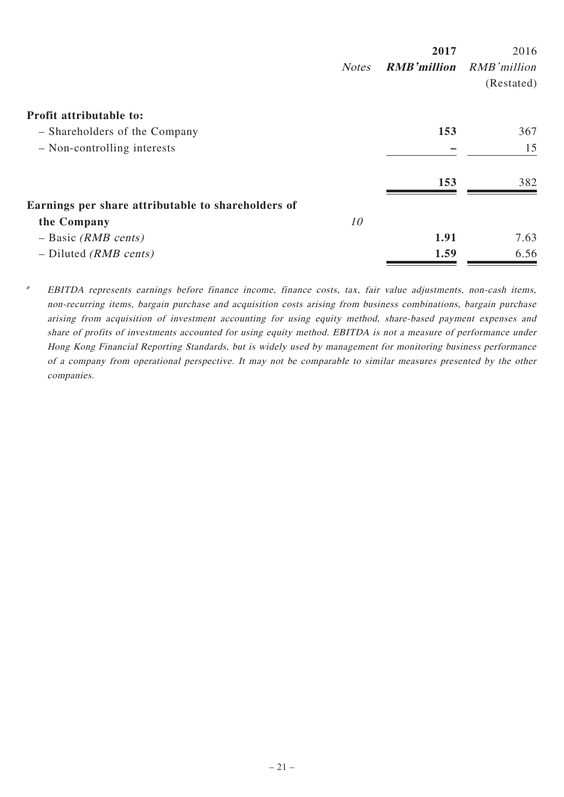|                                                    |              | 2017               | 2016        |
|----------------------------------------------------|--------------|--------------------|-------------|
|                                                    | <b>Notes</b> | <b>RMB'million</b> | RMB'million |
|                                                    |              |                    | (Restated)  |
| Profit attributable to:                            |              |                    |             |
| - Shareholders of the Company                      |              | 153                | 367         |
| - Non-controlling interests                        |              |                    | 15          |
|                                                    |              | 153                | 382         |
| Earnings per share attributable to shareholders of |              |                    |             |
| the Company                                        | 10           |                    |             |
| $-$ Basic ( <i>RMB cents</i> )                     |              | 1.91               | 7.63        |
| $-$ Diluted ( <i>RMB cents</i> )                   |              | 1.59               | 6.56        |

# EBITDA represents earnings before finance income, finance costs, tax, fair value adjustments, non-cash items, non-recurring items, bargain purchase and acquisition costs arising from business combinations, bargain purchase arising from acquisition of investment accounting for using equity method, share-based payment expenses and share of profits of investments accounted for using equity method. EBITDA is not a measure of performance under Hong Kong Financial Reporting Standards, but is widely used by management for monitoring business performance of a company from operational perspective. It may not be comparable to similar measures presented by the other companies.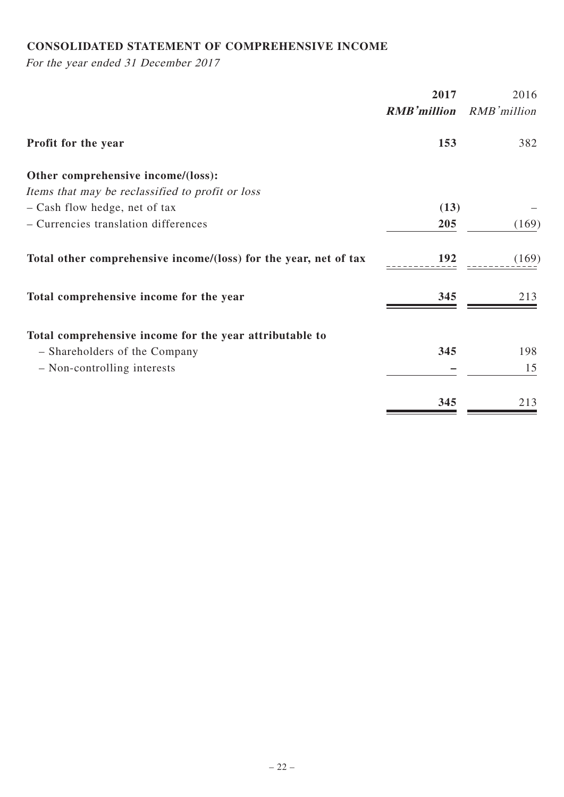# **CONSOLIDATED STATEMENT OF COMPREHENSIVE INCOME**

For the year ended 31 December 2017

|                                                                  | 2017               | 2016        |
|------------------------------------------------------------------|--------------------|-------------|
|                                                                  | <b>RMB'million</b> | RMB'million |
| <b>Profit for the year</b>                                       | 153                | 382         |
| Other comprehensive income/(loss):                               |                    |             |
| Items that may be reclassified to profit or loss                 |                    |             |
| - Cash flow hedge, net of tax                                    | (13)               |             |
| - Currencies translation differences                             | 205                | (169)       |
| Total other comprehensive income/(loss) for the year, net of tax | 192                | (169)       |
| Total comprehensive income for the year                          | 345                | 213         |
| Total comprehensive income for the year attributable to          |                    |             |
| - Shareholders of the Company                                    | 345                | 198         |
| - Non-controlling interests                                      |                    | 15          |
|                                                                  | 345                | 213         |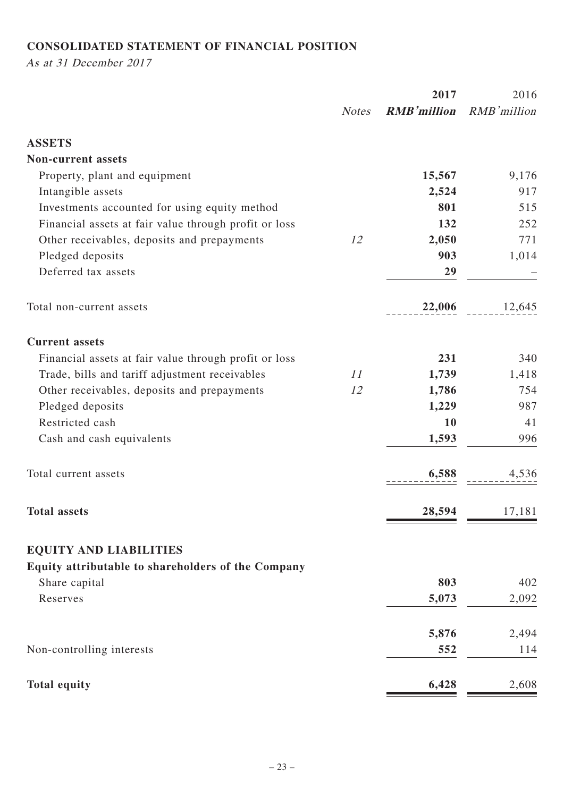# **CONSOLIDATED STATEMENT OF FINANCIAL POSITION**

As at 31 December 2017

|                                                       | 2017         |                    | 2016        |  |
|-------------------------------------------------------|--------------|--------------------|-------------|--|
|                                                       | <b>Notes</b> | <b>RMB'million</b> | RMB'million |  |
| <b>ASSETS</b>                                         |              |                    |             |  |
| <b>Non-current assets</b>                             |              |                    |             |  |
| Property, plant and equipment                         |              | 15,567             | 9,176       |  |
| Intangible assets                                     |              | 2,524              | 917         |  |
| Investments accounted for using equity method         |              | 801                | 515         |  |
| Financial assets at fair value through profit or loss |              | 132                | 252         |  |
| Other receivables, deposits and prepayments           | 12           | 2,050              | 771         |  |
| Pledged deposits                                      |              | 903                | 1,014       |  |
| Deferred tax assets                                   |              | 29                 |             |  |
| Total non-current assets                              |              | 22,006             | 12,645      |  |
| <b>Current assets</b>                                 |              |                    |             |  |
| Financial assets at fair value through profit or loss |              | 231                | 340         |  |
| Trade, bills and tariff adjustment receivables        | 11           | 1,739              | 1,418       |  |
| Other receivables, deposits and prepayments           | 12           | 1,786              | 754         |  |
| Pledged deposits                                      |              | 1,229              | 987         |  |
| Restricted cash                                       |              | 10                 | 41          |  |
| Cash and cash equivalents                             |              | 1,593              | 996         |  |
| Total current assets                                  |              | 6,588              | 4,536       |  |
| <b>Total assets</b>                                   |              | 28,594             | 17,181      |  |
| <b>EQUITY AND LIABILITIES</b>                         |              |                    |             |  |
| Equity attributable to shareholders of the Company    |              |                    |             |  |
| Share capital                                         |              | 803                | 402         |  |
| Reserves                                              |              | 5,073              | 2,092       |  |
|                                                       |              | 5,876              | 2,494       |  |
| Non-controlling interests                             |              | 552                | 114         |  |
| <b>Total equity</b>                                   |              | 6,428              | 2,608       |  |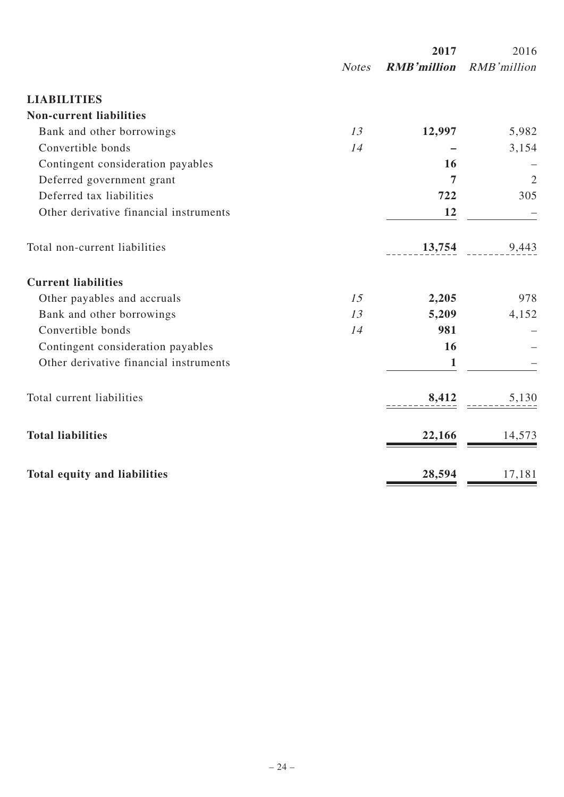|                                        |              | 2017               | 2016           |
|----------------------------------------|--------------|--------------------|----------------|
|                                        | <b>Notes</b> | <b>RMB'million</b> | RMB'million    |
| <b>LIABILITIES</b>                     |              |                    |                |
| <b>Non-current liabilities</b>         |              |                    |                |
| Bank and other borrowings              | 13           | 12,997             | 5,982          |
| Convertible bonds                      | 14           |                    | 3,154          |
| Contingent consideration payables      |              | 16                 |                |
| Deferred government grant              |              | 7                  | $\overline{2}$ |
| Deferred tax liabilities               |              | 722                | 305            |
| Other derivative financial instruments |              | 12                 |                |
| Total non-current liabilities          |              | 13,754             | 9,443          |
| <b>Current liabilities</b>             |              |                    |                |
| Other payables and accruals            | 15           | 2,205              | 978            |
| Bank and other borrowings              | 13           | 5,209              | 4,152          |
| Convertible bonds                      | 14           | 981                |                |
| Contingent consideration payables      |              | 16                 |                |
| Other derivative financial instruments |              | $\mathbf{1}$       |                |
| Total current liabilities              |              | 8,412              | 5,130          |
| <b>Total liabilities</b>               |              | 22,166             | 14,573         |
| Total equity and liabilities           |              | 28,594             | 17,181         |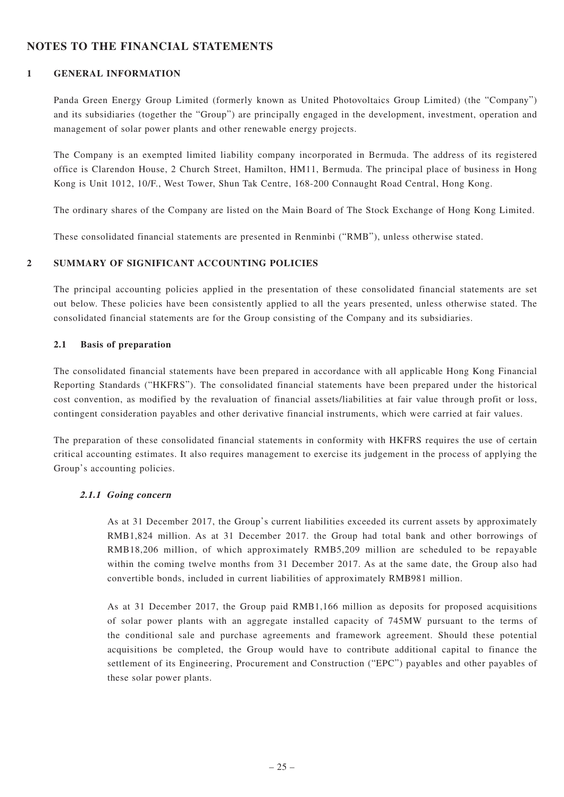### **NOTES TO THE FINANCIAL STATEMENTS**

#### **1 GENERAL INFORMATION**

Panda Green Energy Group Limited (formerly known as United Photovoltaics Group Limited) (the "Company") and its subsidiaries (together the "Group") are principally engaged in the development, investment, operation and management of solar power plants and other renewable energy projects.

The Company is an exempted limited liability company incorporated in Bermuda. The address of its registered office is Clarendon House, 2 Church Street, Hamilton, HM11, Bermuda. The principal place of business in Hong Kong is Unit 1012, 10/F., West Tower, Shun Tak Centre, 168-200 Connaught Road Central, Hong Kong.

The ordinary shares of the Company are listed on the Main Board of The Stock Exchange of Hong Kong Limited.

These consolidated financial statements are presented in Renminbi ("RMB"), unless otherwise stated.

#### **2 SUMMARY OF SIGNIFICANT ACCOUNTING POLICIES**

The principal accounting policies applied in the presentation of these consolidated financial statements are set out below. These policies have been consistently applied to all the years presented, unless otherwise stated. The consolidated financial statements are for the Group consisting of the Company and its subsidiaries.

#### **2.1 Basis of preparation**

The consolidated financial statements have been prepared in accordance with all applicable Hong Kong Financial Reporting Standards ("HKFRS"). The consolidated financial statements have been prepared under the historical cost convention, as modified by the revaluation of financial assets/liabilities at fair value through profit or loss, contingent consideration payables and other derivative financial instruments, which were carried at fair values.

The preparation of these consolidated financial statements in conformity with HKFRS requires the use of certain critical accounting estimates. It also requires management to exercise its judgement in the process of applying the Group's accounting policies.

#### **2.1.1 Going concern**

As at 31 December 2017, the Group's current liabilities exceeded its current assets by approximately RMB1,824 million. As at 31 December 2017. the Group had total bank and other borrowings of RMB18,206 million, of which approximately RMB5,209 million are scheduled to be repayable within the coming twelve months from 31 December 2017. As at the same date, the Group also had convertible bonds, included in current liabilities of approximately RMB981 million.

As at 31 December 2017, the Group paid RMB1,166 million as deposits for proposed acquisitions of solar power plants with an aggregate installed capacity of 745MW pursuant to the terms of the conditional sale and purchase agreements and framework agreement. Should these potential acquisitions be completed, the Group would have to contribute additional capital to finance the settlement of its Engineering, Procurement and Construction ("EPC") payables and other payables of these solar power plants.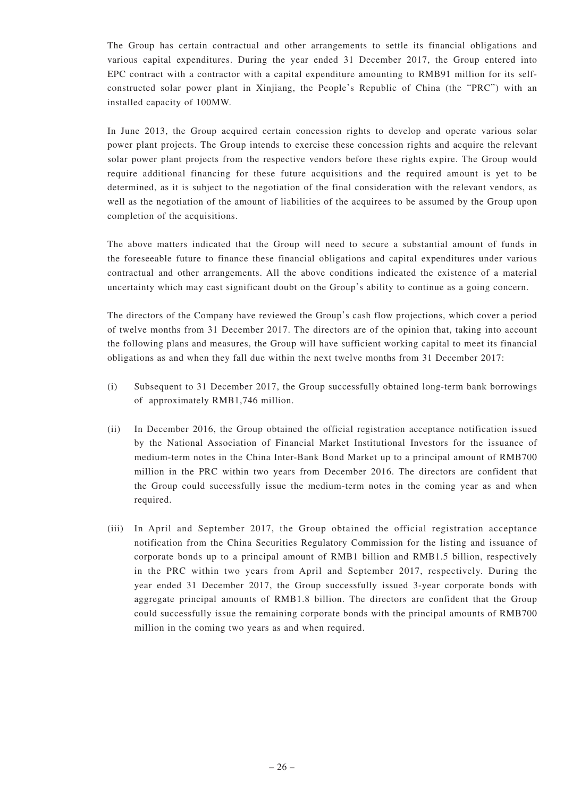The Group has certain contractual and other arrangements to settle its financial obligations and various capital expenditures. During the year ended 31 December 2017, the Group entered into EPC contract with a contractor with a capital expenditure amounting to RMB91 million for its selfconstructed solar power plant in Xinjiang, the People's Republic of China (the "PRC") with an installed capacity of 100MW.

In June 2013, the Group acquired certain concession rights to develop and operate various solar power plant projects. The Group intends to exercise these concession rights and acquire the relevant solar power plant projects from the respective vendors before these rights expire. The Group would require additional financing for these future acquisitions and the required amount is yet to be determined, as it is subject to the negotiation of the final consideration with the relevant vendors, as well as the negotiation of the amount of liabilities of the acquirees to be assumed by the Group upon completion of the acquisitions.

The above matters indicated that the Group will need to secure a substantial amount of funds in the foreseeable future to finance these financial obligations and capital expenditures under various contractual and other arrangements. All the above conditions indicated the existence of a material uncertainty which may cast significant doubt on the Group's ability to continue as a going concern.

The directors of the Company have reviewed the Group's cash flow projections, which cover a period of twelve months from 31 December 2017. The directors are of the opinion that, taking into account the following plans and measures, the Group will have sufficient working capital to meet its financial obligations as and when they fall due within the next twelve months from 31 December 2017:

- (i) Subsequent to 31 December 2017, the Group successfully obtained long-term bank borrowings of approximately RMB1,746 million.
- (ii) In December 2016, the Group obtained the official registration acceptance notification issued by the National Association of Financial Market Institutional Investors for the issuance of medium-term notes in the China Inter-Bank Bond Market up to a principal amount of RMB700 million in the PRC within two years from December 2016. The directors are confident that the Group could successfully issue the medium-term notes in the coming year as and when required.
- (iii) In April and September 2017, the Group obtained the official registration acceptance notification from the China Securities Regulatory Commission for the listing and issuance of corporate bonds up to a principal amount of RMB1 billion and RMB1.5 billion, respectively in the PRC within two years from April and September 2017, respectively. During the year ended 31 December 2017, the Group successfully issued 3-year corporate bonds with aggregate principal amounts of RMB1.8 billion. The directors are confident that the Group could successfully issue the remaining corporate bonds with the principal amounts of RMB700 million in the coming two years as and when required.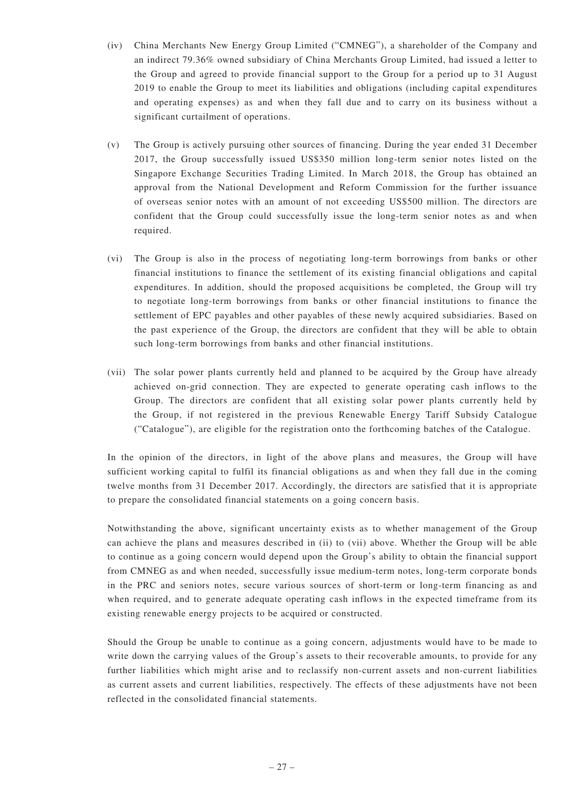- (iv) China Merchants New Energy Group Limited ("CMNEG"), a shareholder of the Company and an indirect 79.36% owned subsidiary of China Merchants Group Limited, had issued a letter to the Group and agreed to provide financial support to the Group for a period up to 31 August 2019 to enable the Group to meet its liabilities and obligations (including capital expenditures and operating expenses) as and when they fall due and to carry on its business without a significant curtailment of operations.
- (v) The Group is actively pursuing other sources of financing. During the year ended 31 December 2017, the Group successfully issued US\$350 million long-term senior notes listed on the Singapore Exchange Securities Trading Limited. In March 2018, the Group has obtained an approval from the National Development and Reform Commission for the further issuance of overseas senior notes with an amount of not exceeding US\$500 million. The directors are confident that the Group could successfully issue the long-term senior notes as and when required.
- (vi) The Group is also in the process of negotiating long-term borrowings from banks or other financial institutions to finance the settlement of its existing financial obligations and capital expenditures. In addition, should the proposed acquisitions be completed, the Group will try to negotiate long-term borrowings from banks or other financial institutions to finance the settlement of EPC payables and other payables of these newly acquired subsidiaries. Based on the past experience of the Group, the directors are confident that they will be able to obtain such long-term borrowings from banks and other financial institutions.
- (vii) The solar power plants currently held and planned to be acquired by the Group have already achieved on-grid connection. They are expected to generate operating cash inflows to the Group. The directors are confident that all existing solar power plants currently held by the Group, if not registered in the previous Renewable Energy Tariff Subsidy Catalogue ("Catalogue"), are eligible for the registration onto the forthcoming batches of the Catalogue.

In the opinion of the directors, in light of the above plans and measures, the Group will have sufficient working capital to fulfil its financial obligations as and when they fall due in the coming twelve months from 31 December 2017. Accordingly, the directors are satisfied that it is appropriate to prepare the consolidated financial statements on a going concern basis.

Notwithstanding the above, significant uncertainty exists as to whether management of the Group can achieve the plans and measures described in (ii) to (vii) above. Whether the Group will be able to continue as a going concern would depend upon the Group's ability to obtain the financial support from CMNEG as and when needed, successfully issue medium-term notes, long-term corporate bonds in the PRC and seniors notes, secure various sources of short-term or long-term financing as and when required, and to generate adequate operating cash inflows in the expected timeframe from its existing renewable energy projects to be acquired or constructed.

Should the Group be unable to continue as a going concern, adjustments would have to be made to write down the carrying values of the Group's assets to their recoverable amounts, to provide for any further liabilities which might arise and to reclassify non-current assets and non-current liabilities as current assets and current liabilities, respectively. The effects of these adjustments have not been reflected in the consolidated financial statements.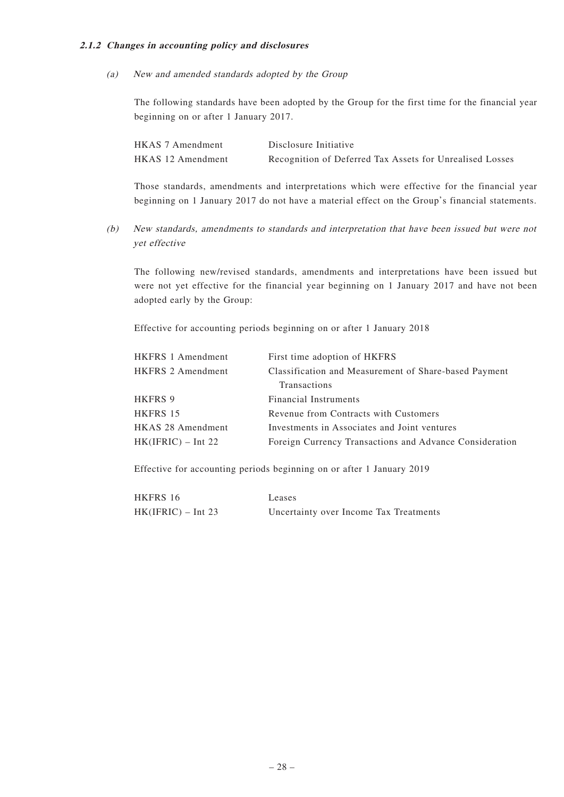#### **2.1.2 Changes in accounting policy and disclosures**

(a) New and amended standards adopted by the Group

The following standards have been adopted by the Group for the first time for the financial year beginning on or after 1 January 2017.

| HKAS 7 Amendment  | Disclosure Initiative                                    |
|-------------------|----------------------------------------------------------|
| HKAS 12 Amendment | Recognition of Deferred Tax Assets for Unrealised Losses |

Those standards, amendments and interpretations which were effective for the financial year beginning on 1 January 2017 do not have a material effect on the Group's financial statements.

(b) New standards, amendments to standards and interpretation that have been issued but were not yet effective

The following new/revised standards, amendments and interpretations have been issued but were not yet effective for the financial year beginning on 1 January 2017 and have not been adopted early by the Group:

Effective for accounting periods beginning on or after 1 January 2018

| First time adoption of HKFRS                            |
|---------------------------------------------------------|
| Classification and Measurement of Share-based Payment   |
| Transactions                                            |
| <b>Financial Instruments</b>                            |
| Revenue from Contracts with Customers                   |
| Investments in Associates and Joint ventures            |
| Foreign Currency Transactions and Advance Consideration |
|                                                         |

Effective for accounting periods beginning on or after 1 January 2019

| HKFRS 16             | Leases                                 |
|----------------------|----------------------------------------|
| $HK(IFRIC) - Int 23$ | Uncertainty over Income Tax Treatments |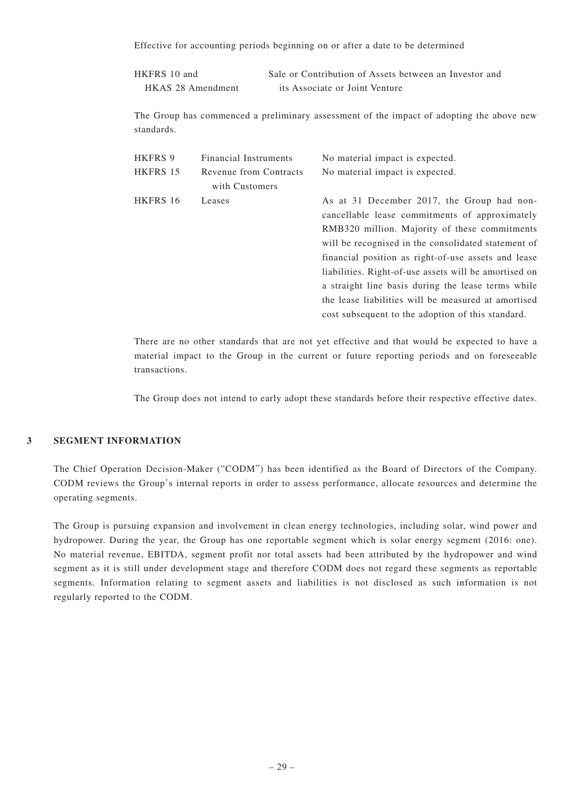Effective for accounting periods beginning on or after a date to be determined

| HKFRS 10 and      | Sale or Contribution of Assets between an Investor and |
|-------------------|--------------------------------------------------------|
| HKAS 28 Amendment | its Associate or Joint Venture                         |

The Group has commenced a preliminary assessment of the impact of adopting the above new standards.

| <b>Financial Instruments</b> | No material impact is expected.                       |
|------------------------------|-------------------------------------------------------|
| Revenue from Contracts       | No material impact is expected.                       |
| with Customers               |                                                       |
| Leases                       | As at 31 December 2017, the Group had non-            |
|                              | cancellable lease commitments of approximately        |
|                              | RMB320 million. Majority of these commitments         |
|                              | will be recognised in the consolidated statement of   |
|                              | financial position as right-of-use assets and lease   |
|                              | liabilities. Right-of-use assets will be amortised on |
|                              | a straight line basis during the lease terms while    |
|                              | the lease liabilities will be measured at amortised   |
|                              | cost subsequent to the adoption of this standard.     |
|                              |                                                       |

There are no other standards that are not yet effective and that would be expected to have a material impact to the Group in the current or future reporting periods and on foreseeable transactions.

The Group does not intend to early adopt these standards before their respective effective dates.

#### **3 SEGMENT INFORMATION**

The Chief Operation Decision-Maker ("CODM") has been identified as the Board of Directors of the Company. CODM reviews the Group's internal reports in order to assess performance, allocate resources and determine the operating segments.

The Group is pursuing expansion and involvement in clean energy technologies, including solar, wind power and hydropower. During the year, the Group has one reportable segment which is solar energy segment (2016: one). No material revenue, EBITDA, segment profit nor total assets had been attributed by the hydropower and wind segment as it is still under development stage and therefore CODM does not regard these segments as reportable segments. Information relating to segment assets and liabilities is not disclosed as such information is not regularly reported to the CODM.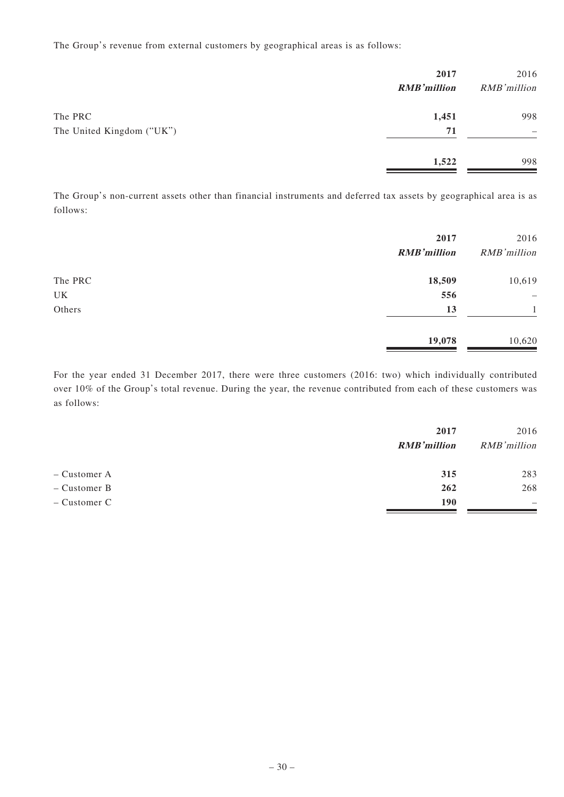The Group's revenue from external customers by geographical areas is as follows:

|                           | 2017<br><b>RMB'million</b> | 2016<br>RMB'million |
|---------------------------|----------------------------|---------------------|
| The PRC                   | 1,451                      | 998                 |
| The United Kingdom ("UK") | 71                         | -                   |
|                           | 1,522                      | 998                 |

The Group's non-current assets other than financial instruments and deferred tax assets by geographical area is as follows:

|         | 2017<br><b>RMB'million</b> | 2016<br>RMB'million |
|---------|----------------------------|---------------------|
| The PRC | 18,509                     | 10,619              |
| UK      | 556                        | -                   |
| Others  | 13                         |                     |
|         | 19,078                     | 10,620              |

For the year ended 31 December 2017, there were three customers (2016: two) which individually contributed over 10% of the Group's total revenue. During the year, the revenue contributed from each of these customers was as follows:

|              | 2017<br><b>RMB'million</b> | 2016<br>RMB'million |
|--------------|----------------------------|---------------------|
| – Customer A | 315                        | 283                 |
| – Customer B | 262                        | 268                 |
| – Customer C | <b>190</b>                 | -                   |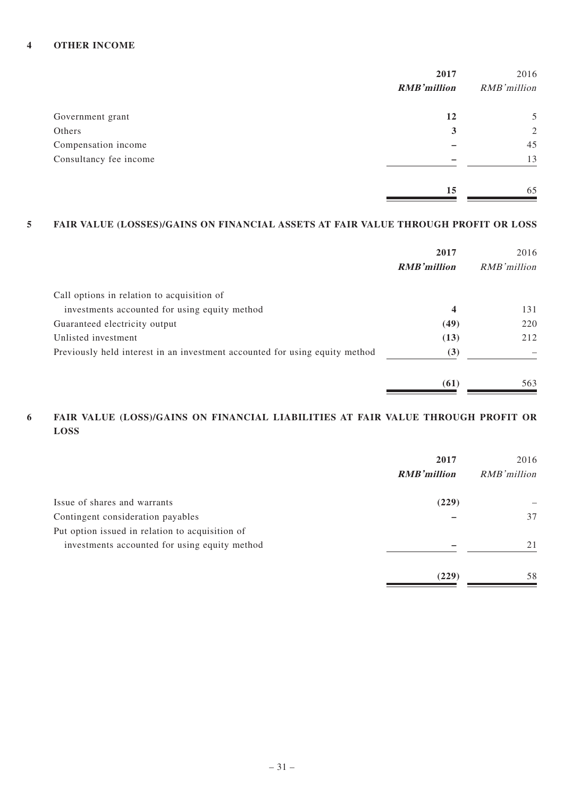#### **4 OTHER INCOME**

|                        | 2017               | 2016           |
|------------------------|--------------------|----------------|
|                        | <b>RMB'million</b> | RMB'million    |
| Government grant       | 12                 | 5              |
| Others                 | 3                  | $\overline{2}$ |
| Compensation income    |                    | 45             |
| Consultancy fee income |                    | 13             |
|                        | 15                 | 65             |

### **5 FAIR VALUE (LOSSES)/GAINS ON FINANCIAL ASSETS AT FAIR VALUE THROUGH PROFIT OR LOSS**

|                                                                             | 2017<br><b>RMB</b> 'million | 2016<br>RMB' million |
|-----------------------------------------------------------------------------|-----------------------------|----------------------|
| Call options in relation to acquisition of                                  |                             |                      |
| investments accounted for using equity method                               | $\overline{\mathbf{4}}$     | 131                  |
| Guaranteed electricity output                                               | (49)                        | 220                  |
| Unlisted investment                                                         | (13)                        | 212                  |
| Previously held interest in an investment accounted for using equity method | (3)                         |                      |
|                                                                             | (61)                        | 563                  |

#### **6 FAIR VALUE (LOSS)/GAINS ON FINANCIAL LIABILITIES AT FAIR VALUE THROUGH PROFIT OR LOSS**

|                                                 | 2017<br><b>RMB'million</b> | 2016<br>RMB'million |
|-------------------------------------------------|----------------------------|---------------------|
| Issue of shares and warrants                    | (229)                      |                     |
| Contingent consideration payables               |                            | 37                  |
| Put option issued in relation to acquisition of |                            |                     |
| investments accounted for using equity method   |                            | 21                  |
|                                                 | (229)                      | 58                  |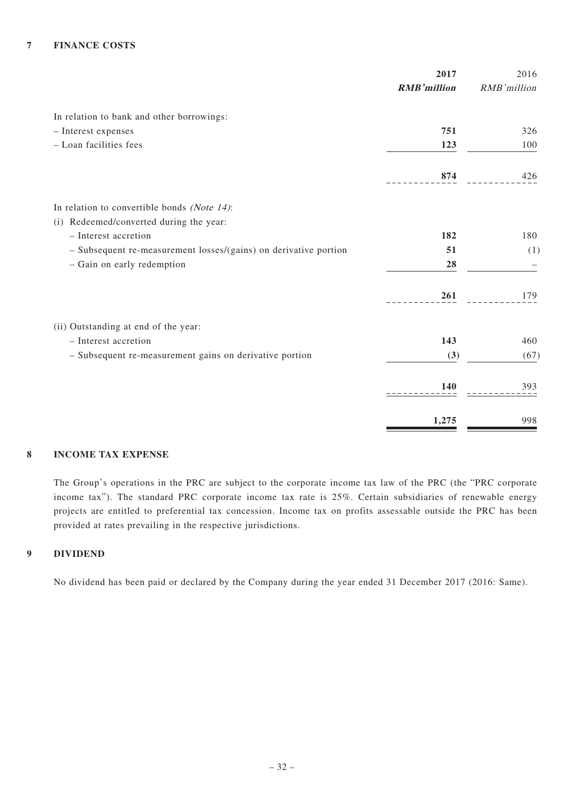#### **7 FINANCE COSTS**

|                                                                  | 2017               | 2016        |
|------------------------------------------------------------------|--------------------|-------------|
|                                                                  | <b>RMB'million</b> | RMB'million |
| In relation to bank and other borrowings:                        |                    |             |
| - Interest expenses                                              | 751                | 326         |
| - Loan facilities fees                                           | 123                | 100         |
|                                                                  | 874                | 426         |
| In relation to convertible bonds (Note $14$ ):                   |                    |             |
| (i) Redeemed/converted during the year:                          |                    |             |
| - Interest accretion                                             | 182                | 180         |
| - Subsequent re-measurement losses/(gains) on derivative portion | 51                 | (1)         |
| - Gain on early redemption                                       | 28                 |             |
|                                                                  | 261                | 179         |
| (ii) Outstanding at end of the year:                             |                    |             |
| - Interest accretion                                             | 143                | 460         |
| - Subsequent re-measurement gains on derivative portion          | (3)                | (67)        |
|                                                                  | 140                | 393         |
|                                                                  | 1,275              | 998         |

#### **8 INCOME TAX EXPENSE**

The Group's operations in the PRC are subject to the corporate income tax law of the PRC (the "PRC corporate income tax"). The standard PRC corporate income tax rate is 25%. Certain subsidiaries of renewable energy projects are entitled to preferential tax concession. Income tax on profits assessable outside the PRC has been provided at rates prevailing in the respective jurisdictions.

#### **9 DIVIDEND**

No dividend has been paid or declared by the Company during the year ended 31 December 2017 (2016: Same).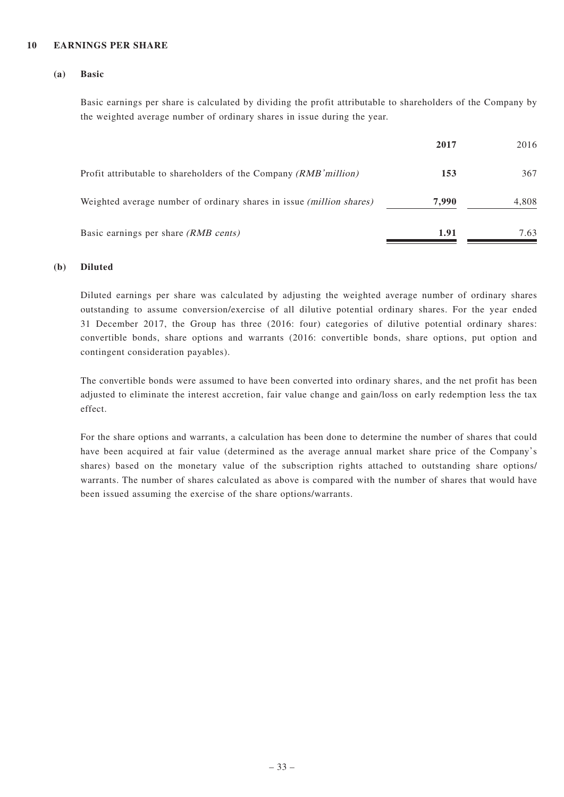#### **10 EARNINGS PER SHARE**

#### **(a) Basic**

Basic earnings per share is calculated by dividing the profit attributable to shareholders of the Company by the weighted average number of ordinary shares in issue during the year.

|                                                                      | 2017  | 2016  |
|----------------------------------------------------------------------|-------|-------|
| Profit attributable to shareholders of the Company (RMB 'million)    | 153   | 367   |
| Weighted average number of ordinary shares in issue (million shares) | 7.990 | 4,808 |
| Basic earnings per share <i>(RMB cents)</i>                          | 1.91  | 7.63  |

#### **(b) Diluted**

Diluted earnings per share was calculated by adjusting the weighted average number of ordinary shares outstanding to assume conversion/exercise of all dilutive potential ordinary shares. For the year ended 31 December 2017, the Group has three (2016: four) categories of dilutive potential ordinary shares: convertible bonds, share options and warrants (2016: convertible bonds, share options, put option and contingent consideration payables).

The convertible bonds were assumed to have been converted into ordinary shares, and the net profit has been adjusted to eliminate the interest accretion, fair value change and gain/loss on early redemption less the tax effect.

For the share options and warrants, a calculation has been done to determine the number of shares that could have been acquired at fair value (determined as the average annual market share price of the Company's shares) based on the monetary value of the subscription rights attached to outstanding share options/ warrants. The number of shares calculated as above is compared with the number of shares that would have been issued assuming the exercise of the share options/warrants.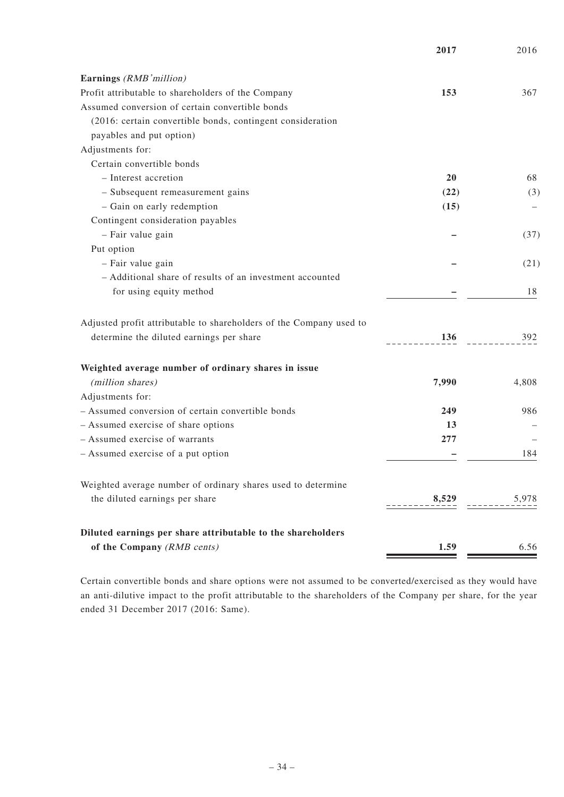|                                                                     | 2017      | 2016  |
|---------------------------------------------------------------------|-----------|-------|
| Earnings (RMB'million)                                              |           |       |
| Profit attributable to shareholders of the Company                  | 153       | 367   |
| Assumed conversion of certain convertible bonds                     |           |       |
| (2016: certain convertible bonds, contingent consideration          |           |       |
| payables and put option)                                            |           |       |
| Adjustments for:                                                    |           |       |
| Certain convertible bonds                                           |           |       |
| - Interest accretion                                                | <b>20</b> | 68    |
| - Subsequent remeasurement gains                                    | (22)      | (3)   |
| - Gain on early redemption                                          | (15)      |       |
| Contingent consideration payables                                   |           |       |
| - Fair value gain                                                   |           | (37)  |
| Put option                                                          |           |       |
| - Fair value gain                                                   |           | (21)  |
| - Additional share of results of an investment accounted            |           |       |
| for using equity method                                             |           | 18    |
| Adjusted profit attributable to shareholders of the Company used to |           |       |
| determine the diluted earnings per share                            | 136       | 392   |
| Weighted average number of ordinary shares in issue                 |           |       |
| (million shares)                                                    | 7,990     | 4,808 |
| Adjustments for:                                                    |           |       |
| - Assumed conversion of certain convertible bonds                   | 249       | 986   |
| - Assumed exercise of share options                                 | 13        |       |
| - Assumed exercise of warrants                                      | 277       |       |
| - Assumed exercise of a put option                                  |           | 184   |
| Weighted average number of ordinary shares used to determine        |           |       |
| the diluted earnings per share                                      | 8,529     | 5,978 |
| Diluted earnings per share attributable to the shareholders         |           |       |
| of the Company (RMB cents)                                          | 1.59      | 6.56  |

Certain convertible bonds and share options were not assumed to be converted/exercised as they would have an anti-dilutive impact to the profit attributable to the shareholders of the Company per share, for the year ended 31 December 2017 (2016: Same).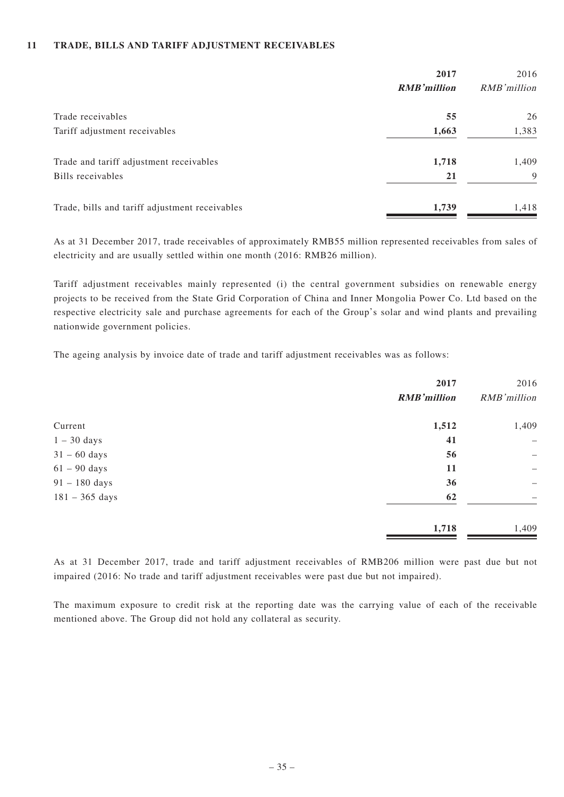#### **11 TRADE, BILLS AND TARIFF ADJUSTMENT RECEIVABLES**

|                                                | 2017               | 2016        |
|------------------------------------------------|--------------------|-------------|
|                                                | <b>RMB'million</b> | RMB'million |
| Trade receivables                              | 55                 | 26          |
| Tariff adjustment receivables                  | 1,663              | 1,383       |
| Trade and tariff adjustment receivables        | 1,718              | 1,409       |
| Bills receivables                              | 21                 | $\mathbf Q$ |
| Trade, bills and tariff adjustment receivables | 1,739              | 1,418       |

As at 31 December 2017, trade receivables of approximately RMB55 million represented receivables from sales of electricity and are usually settled within one month (2016: RMB26 million).

Tariff adjustment receivables mainly represented (i) the central government subsidies on renewable energy projects to be received from the State Grid Corporation of China and Inner Mongolia Power Co. Ltd based on the respective electricity sale and purchase agreements for each of the Group's solar and wind plants and prevailing nationwide government policies.

The ageing analysis by invoice date of trade and tariff adjustment receivables was as follows:

| 2017               | 2016                             |
|--------------------|----------------------------------|
| <b>RMB'million</b> | RMB'million                      |
| 1,512              | 1,409                            |
| 41                 | $\overbrace{\phantom{12322111}}$ |
| 56                 | $\overbrace{\phantom{1232211}}$  |
| 11                 | $\overline{\phantom{m}}$         |
| 36                 | -                                |
| 62                 |                                  |
| 1,718              | 1,409                            |
|                    |                                  |

As at 31 December 2017, trade and tariff adjustment receivables of RMB206 million were past due but not impaired (2016: No trade and tariff adjustment receivables were past due but not impaired).

The maximum exposure to credit risk at the reporting date was the carrying value of each of the receivable mentioned above. The Group did not hold any collateral as security.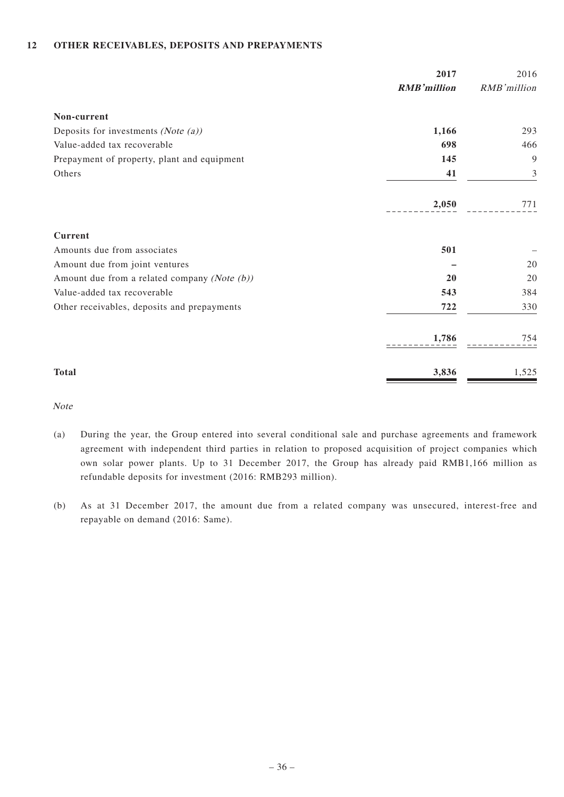#### **12 OTHER RECEIVABLES, DEPOSITS AND PREPAYMENTS**

|                                                 | 2017               | 2016        |
|-------------------------------------------------|--------------------|-------------|
|                                                 | <b>RMB'million</b> | RMB'million |
| Non-current                                     |                    |             |
| Deposits for investments (Note $(a)$ )          | 1,166              | 293         |
| Value-added tax recoverable                     | 698                | 466         |
| Prepayment of property, plant and equipment     | 145                | 9           |
| Others                                          | 41                 | 3           |
|                                                 | 2,050              | 771         |
| <b>Current</b>                                  |                    |             |
| Amounts due from associates                     | 501                |             |
| Amount due from joint ventures                  |                    | 20          |
| Amount due from a related company (Note $(b)$ ) | 20                 | 20          |
| Value-added tax recoverable                     | 543                | 384         |
| Other receivables, deposits and prepayments     | 722                | 330         |
|                                                 | 1,786              | 754         |
| <b>Total</b>                                    | 3,836              | 1,525       |

Note

- (a) During the year, the Group entered into several conditional sale and purchase agreements and framework agreement with independent third parties in relation to proposed acquisition of project companies which own solar power plants. Up to 31 December 2017, the Group has already paid RMB1,166 million as refundable deposits for investment (2016: RMB293 million).
- (b) As at 31 December 2017, the amount due from a related company was unsecured, interest-free and repayable on demand (2016: Same).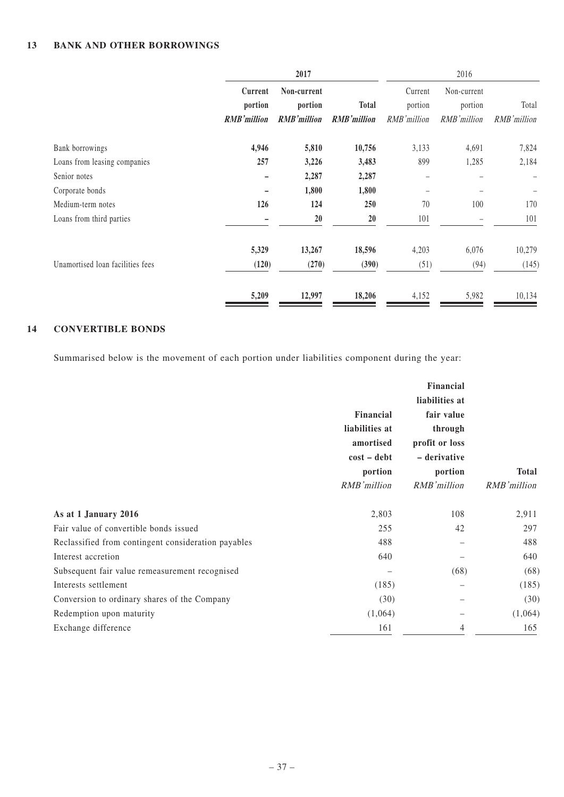|                                  | 2017               |                    |                    |             | 2016        |             |
|----------------------------------|--------------------|--------------------|--------------------|-------------|-------------|-------------|
|                                  | Current            | Non-current        |                    | Current     | Non-current |             |
|                                  | portion            | portion            | <b>Total</b>       | portion     | portion     | Total       |
|                                  | <b>RMB'million</b> | <b>RMB'million</b> | <b>RMB'million</b> | RMB'million | RMB'million | RMB'million |
| Bank borrowings                  | 4,946              | 5,810              | 10,756             | 3,133       | 4,691       | 7,824       |
| Loans from leasing companies     | 257                | 3,226              | 3,483              | 899         | 1,285       | 2,184       |
| Senior notes                     |                    | 2,287              | 2,287              |             |             |             |
| Corporate bonds                  |                    | 1,800              | 1,800              |             |             | -           |
| Medium-term notes                | 126                | 124                | <b>250</b>         | 70          | 100         | 170         |
| Loans from third parties         |                    | 20                 | 20                 | 101         |             | 101         |
|                                  | 5,329              | 13,267             | 18,596             | 4,203       | 6,076       | 10,279      |
| Unamortised loan facilities fees | (120)              | (270)              | (390)              | (51)        | (94)        | (145)       |
|                                  | 5,209              | 12,997             | 18,206             | 4,152       | 5,982       | 10,134      |

### **14 CONVERTIBLE BONDS**

Summarised below is the movement of each portion under liabilities component during the year:

|                                                     | Financial<br>liabilities at<br>amortised<br>$cost - debt$<br>portion<br>RMB'million | Financial<br>liabilities at<br>fair value<br>through<br>profit or loss<br>- derivative<br>portion<br>RMB'million | <b>Total</b><br>RMB'million |
|-----------------------------------------------------|-------------------------------------------------------------------------------------|------------------------------------------------------------------------------------------------------------------|-----------------------------|
| As at 1 January 2016                                | 2,803                                                                               | 108                                                                                                              | 2,911                       |
| Fair value of convertible bonds issued              | 255                                                                                 | 42                                                                                                               | 297                         |
| Reclassified from contingent consideration payables | 488                                                                                 |                                                                                                                  | 488                         |
| Interest accretion                                  | 640                                                                                 |                                                                                                                  | 640                         |
| Subsequent fair value remeasurement recognised      |                                                                                     | (68)                                                                                                             | (68)                        |
| Interests settlement                                | (185)                                                                               |                                                                                                                  | (185)                       |
| Conversion to ordinary shares of the Company        | (30)                                                                                |                                                                                                                  | (30)                        |
| Redemption upon maturity                            | (1,064)                                                                             |                                                                                                                  | (1,064)                     |
| Exchange difference                                 | 161                                                                                 | 4                                                                                                                | 165                         |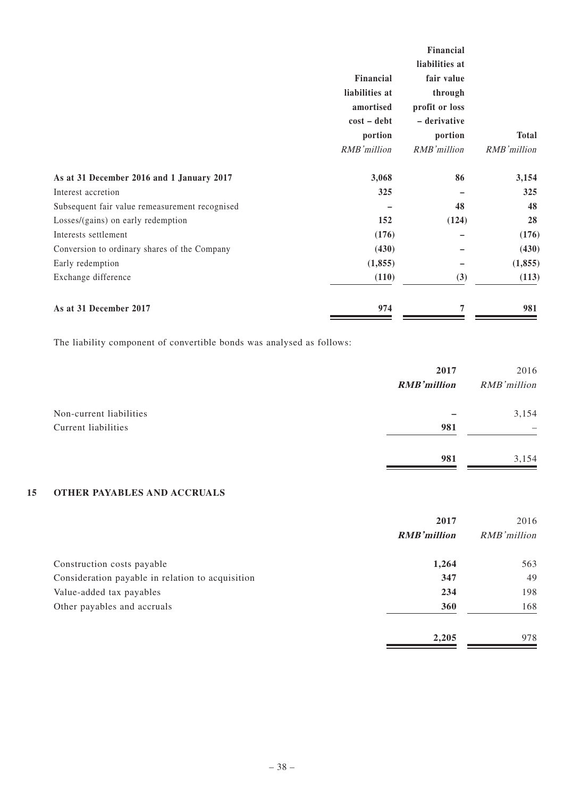|                                                | Financial<br>liabilities at<br>amortised<br>$cost - debt$<br>portion<br>RMB'million | Financial<br>liabilities at<br>fair value<br>through<br>profit or loss<br>- derivative<br>portion<br>RMB'million | <b>Total</b><br>RMB'million |
|------------------------------------------------|-------------------------------------------------------------------------------------|------------------------------------------------------------------------------------------------------------------|-----------------------------|
| As at 31 December 2016 and 1 January 2017      | 3,068                                                                               | 86                                                                                                               | 3,154                       |
| Interest accretion                             | 325                                                                                 |                                                                                                                  | 325                         |
|                                                |                                                                                     |                                                                                                                  |                             |
| Subsequent fair value remeasurement recognised |                                                                                     | 48                                                                                                               | 48                          |
| Losses/(gains) on early redemption             | 152                                                                                 | (124)                                                                                                            | 28                          |
| Interests settlement                           | (176)                                                                               |                                                                                                                  | (176)                       |
| Conversion to ordinary shares of the Company   | (430)                                                                               |                                                                                                                  | (430)                       |
| Early redemption                               | (1, 855)                                                                            |                                                                                                                  | (1, 855)                    |
| Exchange difference                            | (110)                                                                               | (3)                                                                                                              | (113)                       |
| As at 31 December 2017                         | 974                                                                                 |                                                                                                                  | 981                         |

The liability component of convertible bonds was analysed as follows:

|                                                | 2017<br><b>RMB'million</b> | 2016<br>RMB'million |
|------------------------------------------------|----------------------------|---------------------|
| Non-current liabilities<br>Current liabilities | 981                        | 3,154               |
|                                                | 981                        | 3,154               |

#### **15 OTHER PAYABLES AND ACCRUALS**

|                                                  | 2017               | 2016         |  |
|--------------------------------------------------|--------------------|--------------|--|
|                                                  | <b>RMB'million</b> | RMB' million |  |
| Construction costs payable                       | 1,264              | 563          |  |
| Consideration payable in relation to acquisition | 347                | 49           |  |
| Value-added tax payables                         | 234                | 198          |  |
| Other payables and accruals                      | 360                | 168          |  |
|                                                  | 2,205              | 978          |  |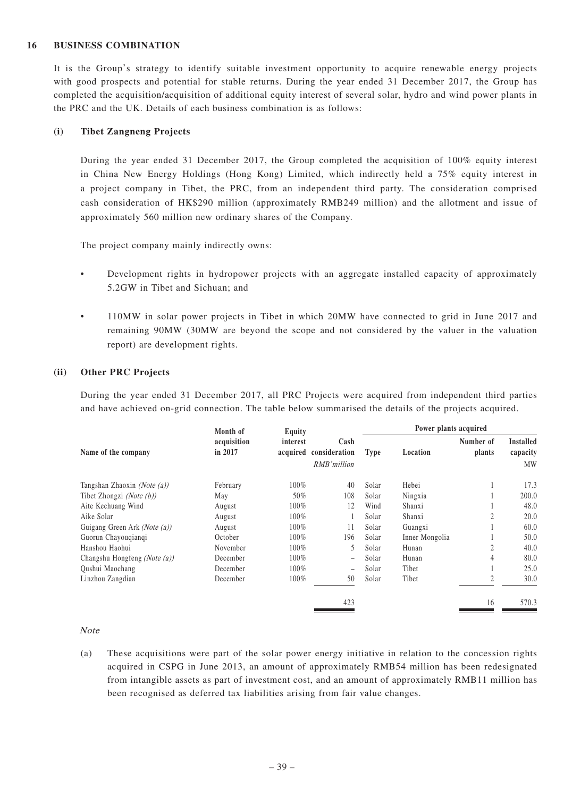#### **16 BUSINESS COMBINATION**

It is the Group's strategy to identify suitable investment opportunity to acquire renewable energy projects with good prospects and potential for stable returns. During the year ended 31 December 2017, the Group has completed the acquisition/acquisition of additional equity interest of several solar, hydro and wind power plants in the PRC and the UK. Details of each business combination is as follows:

#### **(i) Tibet Zangneng Projects**

During the year ended 31 December 2017, the Group completed the acquisition of 100% equity interest in China New Energy Holdings (Hong Kong) Limited, which indirectly held a 75% equity interest in a project company in Tibet, the PRC, from an independent third party. The consideration comprised cash consideration of HK\$290 million (approximately RMB249 million) and the allotment and issue of approximately 560 million new ordinary shares of the Company.

The project company mainly indirectly owns:

- Development rights in hydropower projects with an aggregate installed capacity of approximately 5.2GW in Tibet and Sichuan; and
- 110MW in solar power projects in Tibet in which 20MW have connected to grid in June 2017 and remaining 90MW (30MW are beyond the scope and not considered by the valuer in the valuation report) are development rights.

#### **(ii) Other PRC Projects**

During the year ended 31 December 2017, all PRC Projects were acquired from independent third parties and have achieved on-grid connection. The table below summarised the details of the projects acquired.

|                                | Month of               | Equity   |                                               | Power plants acquired |                |                     |                                    |
|--------------------------------|------------------------|----------|-----------------------------------------------|-----------------------|----------------|---------------------|------------------------------------|
| Name of the company            | acquisition<br>in 2017 | interest | Cash<br>acquired consideration<br>RMB'million | <b>Type</b>           | Location       | Number of<br>plants | <b>Installed</b><br>capacity<br>MW |
| Tangshan Zhaoxin (Note $(a)$ ) | February               | 100%     | 40                                            | Solar                 | Hebei          |                     | 17.3                               |
| Tibet Zhongzi (Note $(b)$ )    | May                    | 50%      | 108                                           | Solar                 | Ningxia        |                     | 200.0                              |
| Aite Kechuang Wind             | August                 | 100%     | 12                                            | Wind                  | Shanxi         |                     | 48.0                               |
| Aike Solar                     | August                 | 100%     |                                               | Solar                 | Shanxi         | $\overline{2}$      | 20.0                               |
| Guigang Green Ark (Note (a))   | August                 | 100%     | 11                                            | Solar                 | Guangxi        |                     | 60.0                               |
| Guorun Chayouqianqi            | October                | 100%     | 196                                           | Solar                 | Inner Mongolia |                     | 50.0                               |
| Hanshou Haohui                 | November               | 100%     | 5                                             | Solar                 | Hunan          | ◠                   | 40.0                               |
| Changshu Hongfeng (Note (a))   | December               | 100%     | -                                             | Solar                 | Hunan          |                     | 80.0                               |
| Qushui Maochang                | December               | 100%     | -                                             | Solar                 | Tibet          |                     | 25.0                               |
| Linzhou Zangdian               | December               | 100%     | 50                                            | Solar                 | Tibet          | 2                   | 30.0                               |
|                                |                        |          | 423                                           |                       |                | 16                  | 570.3                              |

Note

(a) These acquisitions were part of the solar power energy initiative in relation to the concession rights acquired in CSPG in June 2013, an amount of approximately RMB54 million has been redesignated from intangible assets as part of investment cost, and an amount of approximately RMB11 million has been recognised as deferred tax liabilities arising from fair value changes.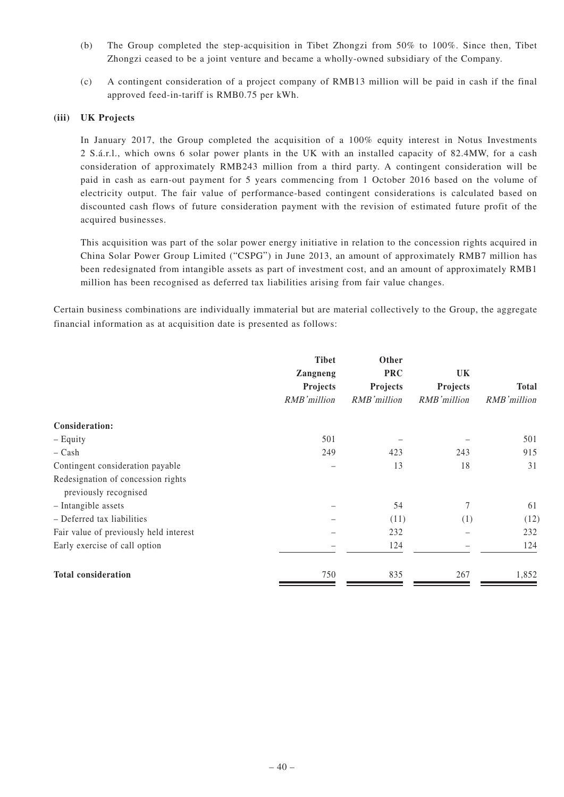- (b) The Group completed the step-acquisition in Tibet Zhongzi from 50% to 100%. Since then, Tibet Zhongzi ceased to be a joint venture and became a wholly-owned subsidiary of the Company.
- (c) A contingent consideration of a project company of RMB13 million will be paid in cash if the final approved feed-in-tariff is RMB0.75 per kWh.

#### **(iii) UK Projects**

In January 2017, the Group completed the acquisition of a 100% equity interest in Notus Investments 2 S.á.r.l., which owns 6 solar power plants in the UK with an installed capacity of 82.4MW, for a cash consideration of approximately RMB243 million from a third party. A contingent consideration will be paid in cash as earn-out payment for 5 years commencing from 1 October 2016 based on the volume of electricity output. The fair value of performance-based contingent considerations is calculated based on discounted cash flows of future consideration payment with the revision of estimated future profit of the acquired businesses.

This acquisition was part of the solar power energy initiative in relation to the concession rights acquired in China Solar Power Group Limited ("CSPG") in June 2013, an amount of approximately RMB7 million has been redesignated from intangible assets as part of investment cost, and an amount of approximately RMB1 million has been recognised as deferred tax liabilities arising from fair value changes.

Certain business combinations are individually immaterial but are material collectively to the Group, the aggregate financial information as at acquisition date is presented as follows:

|                                                             | <b>Tibet</b><br><b>Zangneng</b><br>Projects<br>RMB'million | Other<br><b>PRC</b><br>Projects<br>RMB'million | <b>UK</b><br>Projects<br>RMB'million | <b>Total</b><br>RMB'million |
|-------------------------------------------------------------|------------------------------------------------------------|------------------------------------------------|--------------------------------------|-----------------------------|
| Consideration:                                              |                                                            |                                                |                                      |                             |
| - Equity                                                    | 501                                                        |                                                |                                      | 501                         |
| $-$ Cash                                                    | 249                                                        | 423                                            | 243                                  | 915                         |
| Contingent consideration payable                            |                                                            | 13                                             | 18                                   | 31                          |
| Redesignation of concession rights<br>previously recognised |                                                            |                                                |                                      |                             |
| - Intangible assets                                         |                                                            | 54                                             | 7                                    | 61                          |
| - Deferred tax liabilities                                  |                                                            | (11)                                           | (1)                                  | (12)                        |
| Fair value of previously held interest                      |                                                            | 232                                            |                                      | 232                         |
| Early exercise of call option                               |                                                            | 124                                            |                                      | 124                         |
| <b>Total consideration</b>                                  | 750                                                        | 835                                            | 267                                  | 1,852                       |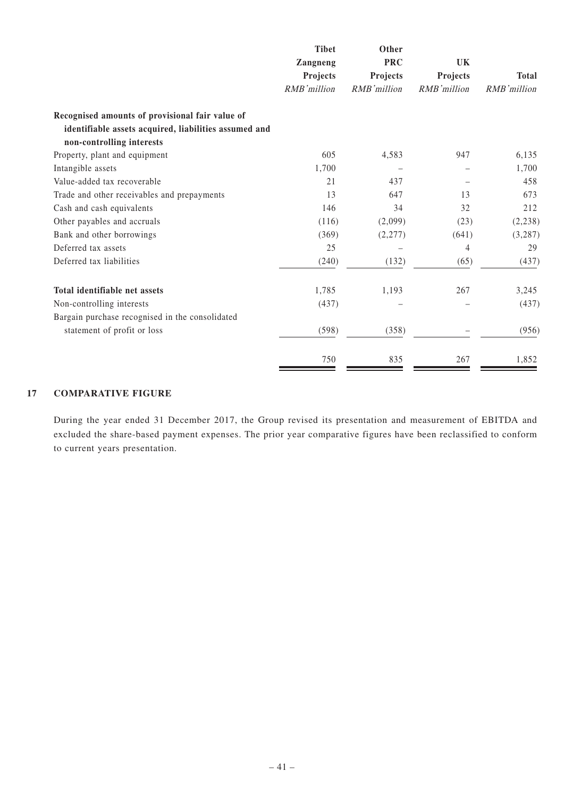|                                                       | <b>Tibet</b><br>Zangneng<br>Projects<br>RMB'million | Other<br><b>PRC</b><br>Projects<br>RMB'million | UK<br>Projects<br>RMB'million | <b>Total</b><br>RMB'million |
|-------------------------------------------------------|-----------------------------------------------------|------------------------------------------------|-------------------------------|-----------------------------|
|                                                       |                                                     |                                                |                               |                             |
|                                                       |                                                     |                                                |                               |                             |
|                                                       |                                                     |                                                |                               |                             |
| Recognised amounts of provisional fair value of       |                                                     |                                                |                               |                             |
| identifiable assets acquired, liabilities assumed and |                                                     |                                                |                               |                             |
| non-controlling interests                             |                                                     |                                                |                               |                             |
| Property, plant and equipment                         | 605                                                 | 4,583                                          | 947                           | 6,135                       |
| Intangible assets                                     | 1,700                                               |                                                |                               | 1,700                       |
| Value-added tax recoverable                           | 21                                                  | 437                                            |                               | 458                         |
| Trade and other receivables and prepayments           | 13                                                  | 647                                            | 13                            | 673                         |
| Cash and cash equivalents                             | 146                                                 | 34                                             | 32                            | 212                         |
| Other payables and accruals                           | (116)                                               | (2,099)                                        | (23)                          | (2, 238)                    |
| Bank and other borrowings                             | (369)                                               | (2,277)                                        | (641)                         | (3, 287)                    |
| Deferred tax assets                                   | 25                                                  |                                                | $\overline{4}$                | 29                          |
| Deferred tax liabilities                              | (240)                                               | (132)                                          | (65)                          | (437)                       |
| Total identifiable net assets                         | 1,785                                               | 1,193                                          | 267                           | 3,245                       |
| Non-controlling interests                             | (437)                                               |                                                |                               | (437)                       |
| Bargain purchase recognised in the consolidated       |                                                     |                                                |                               |                             |
| statement of profit or loss                           | (598)                                               | (358)                                          |                               | (956)                       |
|                                                       | 750                                                 | 835                                            | 267                           | 1,852                       |

#### **17 COMPARATIVE FIGURE**

During the year ended 31 December 2017, the Group revised its presentation and measurement of EBITDA and excluded the share-based payment expenses. The prior year comparative figures have been reclassified to conform to current years presentation.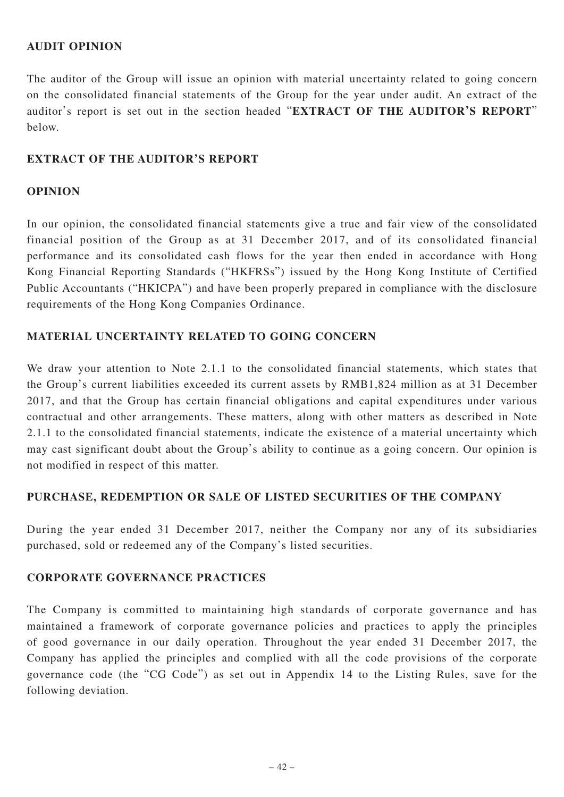### **AUDIT OPINION**

The auditor of the Group will issue an opinion with material uncertainty related to going concern on the consolidated financial statements of the Group for the year under audit. An extract of the auditor's report is set out in the section headed "**EXTRACT OF THE AUDITOR'S REPORT**" below.

#### **EXTRACT OF THE AUDITOR'S REPORT**

#### **OPINION**

In our opinion, the consolidated financial statements give a true and fair view of the consolidated financial position of the Group as at 31 December 2017, and of its consolidated financial performance and its consolidated cash flows for the year then ended in accordance with Hong Kong Financial Reporting Standards ("HKFRSs") issued by the Hong Kong Institute of Certified Public Accountants ("HKICPA") and have been properly prepared in compliance with the disclosure requirements of the Hong Kong Companies Ordinance.

#### **MATERIAL UNCERTAINTY RELATED TO GOING CONCERN**

We draw your attention to Note 2.1.1 to the consolidated financial statements, which states that the Group's current liabilities exceeded its current assets by RMB1,824 million as at 31 December 2017, and that the Group has certain financial obligations and capital expenditures under various contractual and other arrangements. These matters, along with other matters as described in Note 2.1.1 to the consolidated financial statements, indicate the existence of a material uncertainty which may cast significant doubt about the Group's ability to continue as a going concern. Our opinion is not modified in respect of this matter.

#### **PURCHASE, REDEMPTION OR SALE OF LISTED SECURITIES OF THE COMPANY**

During the year ended 31 December 2017, neither the Company nor any of its subsidiaries purchased, sold or redeemed any of the Company's listed securities.

#### **CORPORATE GOVERNANCE PRACTICES**

The Company is committed to maintaining high standards of corporate governance and has maintained a framework of corporate governance policies and practices to apply the principles of good governance in our daily operation. Throughout the year ended 31 December 2017, the Company has applied the principles and complied with all the code provisions of the corporate governance code (the "CG Code") as set out in Appendix 14 to the Listing Rules, save for the following deviation.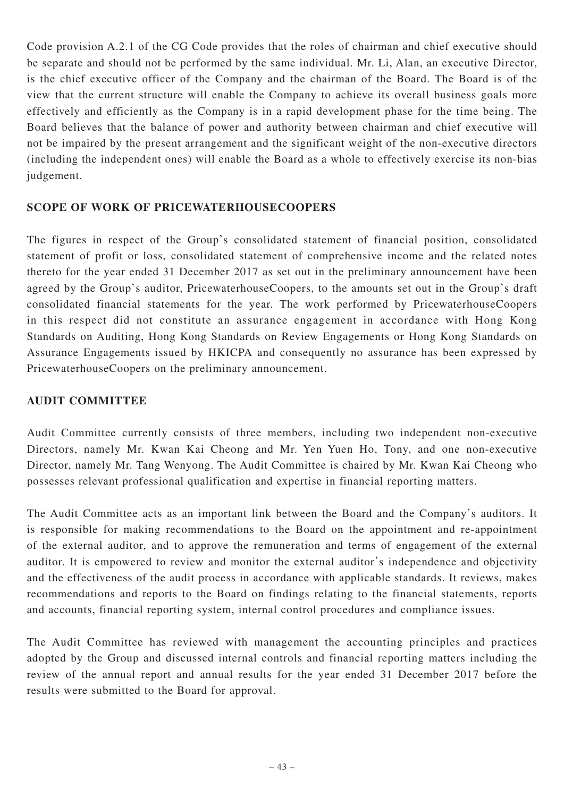Code provision A.2.1 of the CG Code provides that the roles of chairman and chief executive should be separate and should not be performed by the same individual. Mr. Li, Alan, an executive Director, is the chief executive officer of the Company and the chairman of the Board. The Board is of the view that the current structure will enable the Company to achieve its overall business goals more effectively and efficiently as the Company is in a rapid development phase for the time being. The Board believes that the balance of power and authority between chairman and chief executive will not be impaired by the present arrangement and the significant weight of the non-executive directors (including the independent ones) will enable the Board as a whole to effectively exercise its non-bias judgement.

### **SCOPE OF WORK OF PRICEWATERHOUSECOOPERS**

The figures in respect of the Group's consolidated statement of financial position, consolidated statement of profit or loss, consolidated statement of comprehensive income and the related notes thereto for the year ended 31 December 2017 as set out in the preliminary announcement have been agreed by the Group's auditor, PricewaterhouseCoopers, to the amounts set out in the Group's draft consolidated financial statements for the year. The work performed by PricewaterhouseCoopers in this respect did not constitute an assurance engagement in accordance with Hong Kong Standards on Auditing, Hong Kong Standards on Review Engagements or Hong Kong Standards on Assurance Engagements issued by HKICPA and consequently no assurance has been expressed by PricewaterhouseCoopers on the preliminary announcement.

### **AUDIT COMMITTEE**

Audit Committee currently consists of three members, including two independent non-executive Directors, namely Mr. Kwan Kai Cheong and Mr. Yen Yuen Ho, Tony, and one non-executive Director, namely Mr. Tang Wenyong. The Audit Committee is chaired by Mr. Kwan Kai Cheong who possesses relevant professional qualification and expertise in financial reporting matters.

The Audit Committee acts as an important link between the Board and the Company's auditors. It is responsible for making recommendations to the Board on the appointment and re-appointment of the external auditor, and to approve the remuneration and terms of engagement of the external auditor. It is empowered to review and monitor the external auditor's independence and objectivity and the effectiveness of the audit process in accordance with applicable standards. It reviews, makes recommendations and reports to the Board on findings relating to the financial statements, reports and accounts, financial reporting system, internal control procedures and compliance issues.

The Audit Committee has reviewed with management the accounting principles and practices adopted by the Group and discussed internal controls and financial reporting matters including the review of the annual report and annual results for the year ended 31 December 2017 before the results were submitted to the Board for approval.